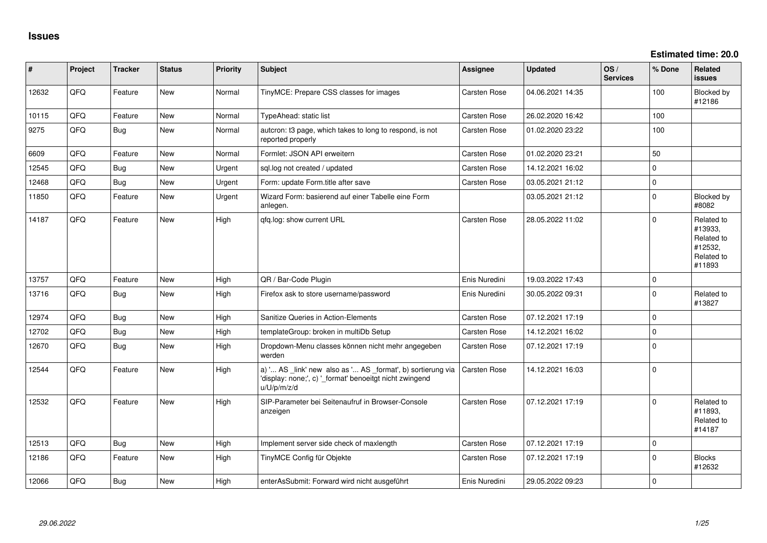**Estimated time: 20.0**

| #     | Project | <b>Tracker</b> | <b>Status</b> | <b>Priority</b> | Subject                                                                                                                               | Assignee      | <b>Updated</b>   | OS/<br><b>Services</b> | % Done      | Related<br>issues                                                      |
|-------|---------|----------------|---------------|-----------------|---------------------------------------------------------------------------------------------------------------------------------------|---------------|------------------|------------------------|-------------|------------------------------------------------------------------------|
| 12632 | QFQ     | Feature        | <b>New</b>    | Normal          | TinyMCE: Prepare CSS classes for images                                                                                               | Carsten Rose  | 04.06.2021 14:35 |                        | 100         | Blocked by<br>#12186                                                   |
| 10115 | QFQ     | Feature        | New           | Normal          | <b>TypeAhead: static list</b>                                                                                                         | Carsten Rose  | 26.02.2020 16:42 |                        | 100         |                                                                        |
| 9275  | QFQ     | Bug            | <b>New</b>    | Normal          | autcron: t3 page, which takes to long to respond, is not<br>reported properly                                                         | Carsten Rose  | 01.02.2020 23:22 |                        | 100         |                                                                        |
| 6609  | QFQ     | Feature        | <b>New</b>    | Normal          | Formlet: JSON API erweitern                                                                                                           | Carsten Rose  | 01.02.2020 23:21 |                        | 50          |                                                                        |
| 12545 | QFQ     | <b>Bug</b>     | <b>New</b>    | Urgent          | sql.log not created / updated                                                                                                         | Carsten Rose  | 14.12.2021 16:02 |                        | $\mathbf 0$ |                                                                        |
| 12468 | QFQ     | <b>Bug</b>     | <b>New</b>    | Urgent          | Form: update Form.title after save                                                                                                    | Carsten Rose  | 03.05.2021 21:12 |                        | $\Omega$    |                                                                        |
| 11850 | QFQ     | Feature        | New           | Urgent          | Wizard Form: basierend auf einer Tabelle eine Form<br>anlegen.                                                                        |               | 03.05.2021 21:12 |                        | $\Omega$    | Blocked by<br>#8082                                                    |
| 14187 | QFQ     | Feature        | <b>New</b>    | High            | qfq.log: show current URL                                                                                                             | Carsten Rose  | 28.05.2022 11:02 |                        | $\Omega$    | Related to<br>#13933,<br>Related to<br>#12532,<br>Related to<br>#11893 |
| 13757 | QFQ     | Feature        | <b>New</b>    | High            | QR / Bar-Code Plugin                                                                                                                  | Enis Nuredini | 19.03.2022 17:43 |                        | $\Omega$    |                                                                        |
| 13716 | QFQ     | <b>Bug</b>     | <b>New</b>    | High            | Firefox ask to store username/password                                                                                                | Enis Nuredini | 30.05.2022 09:31 |                        | $\Omega$    | Related to<br>#13827                                                   |
| 12974 | QFQ     | <b>Bug</b>     | <b>New</b>    | High            | Sanitize Queries in Action-Elements                                                                                                   | Carsten Rose  | 07.12.2021 17:19 |                        | $\Omega$    |                                                                        |
| 12702 | QFQ     | Bug            | New           | High            | templateGroup: broken in multiDb Setup                                                                                                | Carsten Rose  | 14.12.2021 16:02 |                        | $\mathbf 0$ |                                                                        |
| 12670 | QFQ     | Bug            | <b>New</b>    | High            | Dropdown-Menu classes können nicht mehr angegeben<br>werden                                                                           | Carsten Rose  | 07.12.2021 17:19 |                        | $\Omega$    |                                                                        |
| 12544 | QFQ     | Feature        | <b>New</b>    | High            | a) ' AS _link' new also as ' AS _format', b) sortierung via<br>'display: none;', c) '_format' benoeitgt nicht zwingend<br>u/U/p/m/z/d | Carsten Rose  | 14.12.2021 16:03 |                        | $\Omega$    |                                                                        |
| 12532 | QFQ     | Feature        | <b>New</b>    | High            | SIP-Parameter bei Seitenaufruf in Browser-Console<br>anzeigen                                                                         | Carsten Rose  | 07.12.2021 17:19 |                        | $\Omega$    | Related to<br>#11893,<br>Related to<br>#14187                          |
| 12513 | QFQ     | <b>Bug</b>     | <b>New</b>    | High            | Implement server side check of maxlength                                                                                              | Carsten Rose  | 07.12.2021 17:19 |                        | $\Omega$    |                                                                        |
| 12186 | QFQ     | Feature        | <b>New</b>    | High            | TinyMCE Config für Objekte                                                                                                            | Carsten Rose  | 07.12.2021 17:19 |                        | $\Omega$    | <b>Blocks</b><br>#12632                                                |
| 12066 | QFQ     | <b>Bug</b>     | New           | High            | enterAsSubmit: Forward wird nicht ausgeführt                                                                                          | Enis Nuredini | 29.05.2022 09:23 |                        | $\Omega$    |                                                                        |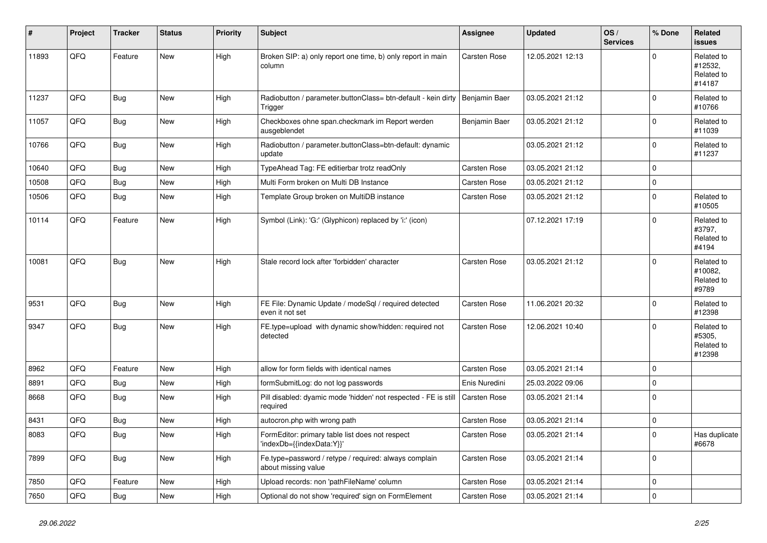| ∦     | Project | <b>Tracker</b> | <b>Status</b> | <b>Priority</b> | <b>Subject</b>                                                               | Assignee            | <b>Updated</b>   | OS/<br><b>Services</b> | % Done       | Related<br><b>issues</b>                      |
|-------|---------|----------------|---------------|-----------------|------------------------------------------------------------------------------|---------------------|------------------|------------------------|--------------|-----------------------------------------------|
| 11893 | QFQ     | Feature        | <b>New</b>    | High            | Broken SIP: a) only report one time, b) only report in main<br>column        | Carsten Rose        | 12.05.2021 12:13 |                        | $\Omega$     | Related to<br>#12532,<br>Related to<br>#14187 |
| 11237 | QFQ     | Bug            | <b>New</b>    | High            | Radiobutton / parameter.buttonClass= btn-default - kein dirty<br>Trigger     | Benjamin Baer       | 03.05.2021 21:12 |                        | $\Omega$     | Related to<br>#10766                          |
| 11057 | QFQ     | Bug            | <b>New</b>    | High            | Checkboxes ohne span.checkmark im Report werden<br>ausgeblendet              | Benjamin Baer       | 03.05.2021 21:12 |                        | $\mathbf 0$  | Related to<br>#11039                          |
| 10766 | QFQ     | Bug            | New           | High            | Radiobutton / parameter.buttonClass=btn-default: dynamic<br>update           |                     | 03.05.2021 21:12 |                        | $\Omega$     | Related to<br>#11237                          |
| 10640 | QFQ     | <b>Bug</b>     | <b>New</b>    | High            | TypeAhead Tag: FE editierbar trotz readOnly                                  | <b>Carsten Rose</b> | 03.05.2021 21:12 |                        | $\mathbf 0$  |                                               |
| 10508 | QFQ     | <b>Bug</b>     | <b>New</b>    | High            | Multi Form broken on Multi DB Instance                                       | Carsten Rose        | 03.05.2021 21:12 |                        | $\Omega$     |                                               |
| 10506 | QFQ     | Bug            | <b>New</b>    | High            | Template Group broken on MultiDB instance                                    | Carsten Rose        | 03.05.2021 21:12 |                        | $\mathbf 0$  | Related to<br>#10505                          |
| 10114 | QFQ     | Feature        | <b>New</b>    | High            | Symbol (Link): 'G:' (Glyphicon) replaced by 'i:' (icon)                      |                     | 07.12.2021 17:19 |                        | $\mathbf 0$  | Related to<br>#3797,<br>Related to<br>#4194   |
| 10081 | QFQ     | Bug            | <b>New</b>    | High            | Stale record lock after 'forbidden' character                                | Carsten Rose        | 03.05.2021 21:12 |                        | $\Omega$     | Related to<br>#10082,<br>Related to<br>#9789  |
| 9531  | QFQ     | <b>Bug</b>     | <b>New</b>    | High            | FE File: Dynamic Update / modeSql / required detected<br>even it not set     | Carsten Rose        | 11.06.2021 20:32 |                        | $\Omega$     | Related to<br>#12398                          |
| 9347  | QFQ     | <b>Bug</b>     | New           | High            | FE.type=upload with dynamic show/hidden: required not<br>detected            | Carsten Rose        | 12.06.2021 10:40 |                        | $\Omega$     | Related to<br>#5305,<br>Related to<br>#12398  |
| 8962  | QFQ     | Feature        | New           | High            | allow for form fields with identical names                                   | Carsten Rose        | 03.05.2021 21:14 |                        | $\mathbf 0$  |                                               |
| 8891  | QFQ     | <b>Bug</b>     | <b>New</b>    | High            | formSubmitLog: do not log passwords                                          | Enis Nuredini       | 25.03.2022 09:06 |                        | $\mathbf 0$  |                                               |
| 8668  | QFQ     | Bug            | New           | High            | Pill disabled: dyamic mode 'hidden' not respected - FE is still<br>required  | Carsten Rose        | 03.05.2021 21:14 |                        | $\Omega$     |                                               |
| 8431  | QFQ     | <b>Bug</b>     | <b>New</b>    | High            | autocron.php with wrong path                                                 | Carsten Rose        | 03.05.2021 21:14 |                        | $\mathbf 0$  |                                               |
| 8083  | QFQ     | <b>Bug</b>     | New           | High            | FormEditor: primary table list does not respect<br>'indexDb={{indexData:Y}}' | Carsten Rose        | 03.05.2021 21:14 |                        | $\mathbf{0}$ | Has duplicate<br>#6678                        |
| 7899  | QFQ     | Bug            | <b>New</b>    | High            | Fe.type=password / retype / required: always complain<br>about missing value | Carsten Rose        | 03.05.2021 21:14 |                        | $\mathbf 0$  |                                               |
| 7850  | QFQ     | Feature        | New           | High            | Upload records: non 'pathFileName' column                                    | Carsten Rose        | 03.05.2021 21:14 |                        | $\mathbf 0$  |                                               |
| 7650  | QFQ     | Bug            | <b>New</b>    | High            | Optional do not show 'required' sign on FormElement                          | Carsten Rose        | 03.05.2021 21:14 |                        | $\mathbf 0$  |                                               |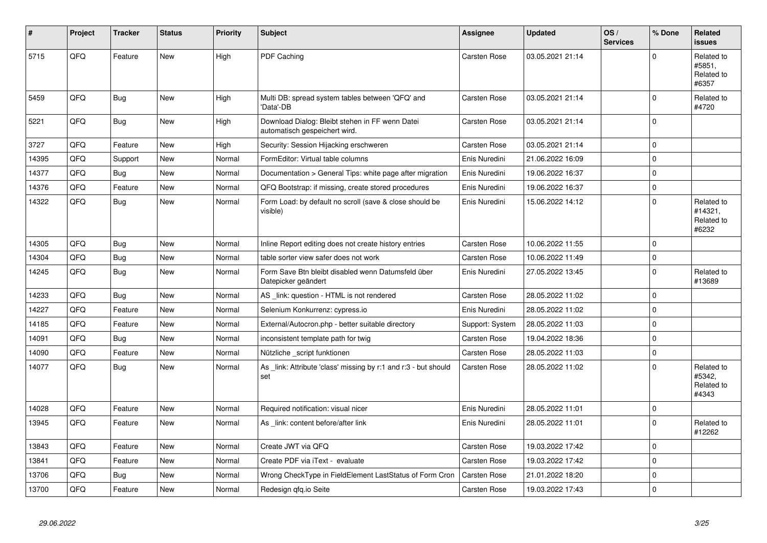| $\vert$ # | Project | <b>Tracker</b> | <b>Status</b> | <b>Priority</b> | <b>Subject</b>                                                                   | <b>Assignee</b>     | <b>Updated</b>   | OS/<br><b>Services</b> | % Done         | Related<br>issues                            |
|-----------|---------|----------------|---------------|-----------------|----------------------------------------------------------------------------------|---------------------|------------------|------------------------|----------------|----------------------------------------------|
| 5715      | QFQ     | Feature        | New           | High            | PDF Caching                                                                      | Carsten Rose        | 03.05.2021 21:14 |                        | $\Omega$       | Related to<br>#5851,<br>Related to<br>#6357  |
| 5459      | QFQ     | <b>Bug</b>     | <b>New</b>    | High            | Multi DB: spread system tables between 'QFQ' and<br>'Data'-DB                    | Carsten Rose        | 03.05.2021 21:14 |                        | 0              | Related to<br>#4720                          |
| 5221      | QFQ     | <b>Bug</b>     | <b>New</b>    | High            | Download Dialog: Bleibt stehen in FF wenn Datei<br>automatisch gespeichert wird. | Carsten Rose        | 03.05.2021 21:14 |                        | 0              |                                              |
| 3727      | QFQ     | Feature        | New           | High            | Security: Session Hijacking erschweren                                           | Carsten Rose        | 03.05.2021 21:14 |                        | 0              |                                              |
| 14395     | QFQ     | Support        | <b>New</b>    | Normal          | FormEditor: Virtual table columns                                                | Enis Nuredini       | 21.06.2022 16:09 |                        | $\Omega$       |                                              |
| 14377     | QFQ     | <b>Bug</b>     | New           | Normal          | Documentation > General Tips: white page after migration                         | Enis Nuredini       | 19.06.2022 16:37 |                        | 0              |                                              |
| 14376     | QFQ     | Feature        | <b>New</b>    | Normal          | QFQ Bootstrap: if missing, create stored procedures                              | Enis Nuredini       | 19.06.2022 16:37 |                        | 0              |                                              |
| 14322     | QFQ     | Bug            | <b>New</b>    | Normal          | Form Load: by default no scroll (save & close should be<br>visible)              | Enis Nuredini       | 15.06.2022 14:12 |                        | 0              | Related to<br>#14321,<br>Related to<br>#6232 |
| 14305     | QFQ     | <b>Bug</b>     | <b>New</b>    | Normal          | Inline Report editing does not create history entries                            | <b>Carsten Rose</b> | 10.06.2022 11:55 |                        | $\Omega$       |                                              |
| 14304     | QFQ     | Bug            | <b>New</b>    | Normal          | table sorter view safer does not work                                            | Carsten Rose        | 10.06.2022 11:49 |                        | $\mathbf 0$    |                                              |
| 14245     | QFQ     | <b>Bug</b>     | New           | Normal          | Form Save Btn bleibt disabled wenn Datumsfeld über<br>Datepicker geändert        | Enis Nuredini       | 27.05.2022 13:45 |                        | $\Omega$       | Related to<br>#13689                         |
| 14233     | QFQ     | <b>Bug</b>     | <b>New</b>    | Normal          | AS _link: question - HTML is not rendered                                        | Carsten Rose        | 28.05.2022 11:02 |                        | $\mathbf 0$    |                                              |
| 14227     | QFQ     | Feature        | New           | Normal          | Selenium Konkurrenz: cypress.io                                                  | Enis Nuredini       | 28.05.2022 11:02 |                        | 0              |                                              |
| 14185     | QFQ     | Feature        | <b>New</b>    | Normal          | External/Autocron.php - better suitable directory                                | Support: System     | 28.05.2022 11:03 |                        | 0              |                                              |
| 14091     | QFQ     | Bug            | <b>New</b>    | Normal          | inconsistent template path for twig                                              | Carsten Rose        | 19.04.2022 18:36 |                        | $\Omega$       |                                              |
| 14090     | QFQ     | Feature        | <b>New</b>    | Normal          | Nützliche _script funktionen                                                     | Carsten Rose        | 28.05.2022 11:03 |                        | 0              |                                              |
| 14077     | QFQ     | <b>Bug</b>     | <b>New</b>    | Normal          | As _link: Attribute 'class' missing by r:1 and r:3 - but should<br>set           | Carsten Rose        | 28.05.2022 11:02 |                        | 0              | Related to<br>#5342,<br>Related to<br>#4343  |
| 14028     | QFQ     | Feature        | <b>New</b>    | Normal          | Required notification: visual nicer                                              | Enis Nuredini       | 28.05.2022 11:01 |                        | $\pmb{0}$      |                                              |
| 13945     | QFQ     | Feature        | <b>New</b>    | Normal          | As _link: content before/after link                                              | Enis Nuredini       | 28.05.2022 11:01 |                        | $\Omega$       | Related to<br>#12262                         |
| 13843     | QFQ     | Feature        | <b>New</b>    | Normal          | Create JWT via QFQ                                                               | Carsten Rose        | 19.03.2022 17:42 |                        | $\Omega$       |                                              |
| 13841     | QFQ     | Feature        | New           | Normal          | Create PDF via iText - evaluate                                                  | Carsten Rose        | 19.03.2022 17:42 |                        | $\overline{0}$ |                                              |
| 13706     | QFQ     | <b>Bug</b>     | <b>New</b>    | Normal          | Wrong CheckType in FieldElement LastStatus of Form Cron                          | Carsten Rose        | 21.01.2022 18:20 |                        | $\Omega$       |                                              |
| 13700     | QFQ     | Feature        | New           | Normal          | Redesign gfg.io Seite                                                            | Carsten Rose        | 19.03.2022 17:43 |                        | $\mathbf 0$    |                                              |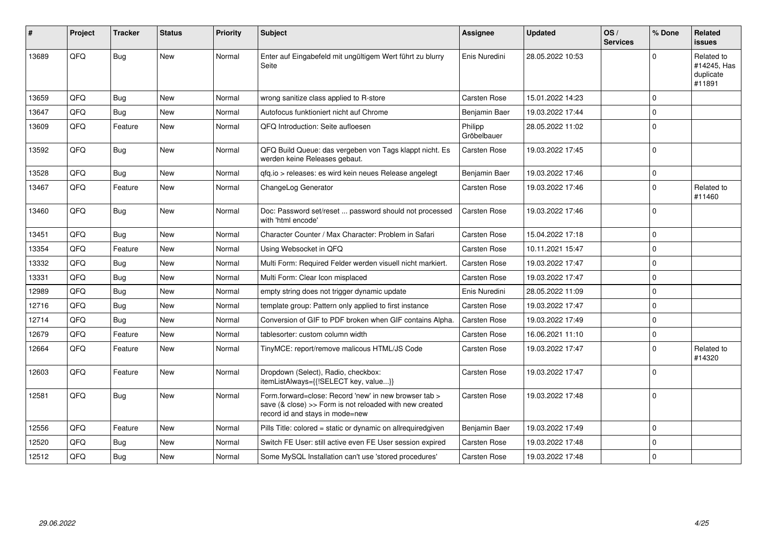| #     | Project | <b>Tracker</b> | <b>Status</b> | <b>Priority</b> | Subject                                                                                                                                             | Assignee               | <b>Updated</b>   | OS/<br><b>Services</b> | % Done      | Related<br><b>issues</b>                         |
|-------|---------|----------------|---------------|-----------------|-----------------------------------------------------------------------------------------------------------------------------------------------------|------------------------|------------------|------------------------|-------------|--------------------------------------------------|
| 13689 | QFQ     | <b>Bug</b>     | <b>New</b>    | Normal          | Enter auf Eingabefeld mit ungültigem Wert führt zu blurry<br>Seite                                                                                  | Enis Nuredini          | 28.05.2022 10:53 |                        | $\Omega$    | Related to<br>#14245, Has<br>duplicate<br>#11891 |
| 13659 | QFQ     | Bug            | New           | Normal          | wrong sanitize class applied to R-store                                                                                                             | Carsten Rose           | 15.01.2022 14:23 |                        | $\mathbf 0$ |                                                  |
| 13647 | QFQ     | <b>Bug</b>     | <b>New</b>    | Normal          | Autofocus funktioniert nicht auf Chrome                                                                                                             | Benjamin Baer          | 19.03.2022 17:44 |                        | $\Omega$    |                                                  |
| 13609 | QFQ     | Feature        | <b>New</b>    | Normal          | QFQ Introduction: Seite aufloesen                                                                                                                   | Philipp<br>Gröbelbauer | 28.05.2022 11:02 |                        | $\mathbf 0$ |                                                  |
| 13592 | QFQ     | <b>Bug</b>     | <b>New</b>    | Normal          | QFQ Build Queue: das vergeben von Tags klappt nicht. Es<br>werden keine Releases gebaut.                                                            | <b>Carsten Rose</b>    | 19.03.2022 17:45 |                        | $\mathbf 0$ |                                                  |
| 13528 | QFQ     | Bug            | New           | Normal          | qfq.io > releases: es wird kein neues Release angelegt                                                                                              | Benjamin Baer          | 19.03.2022 17:46 |                        | $\mathbf 0$ |                                                  |
| 13467 | QFQ     | Feature        | <b>New</b>    | Normal          | ChangeLog Generator                                                                                                                                 | Carsten Rose           | 19.03.2022 17:46 |                        | $\Omega$    | Related to<br>#11460                             |
| 13460 | QFQ     | Bug            | <b>New</b>    | Normal          | Doc: Password set/reset  password should not processed<br>with 'html encode'                                                                        | <b>Carsten Rose</b>    | 19.03.2022 17:46 |                        | $\mathbf 0$ |                                                  |
| 13451 | QFQ     | <b>Bug</b>     | <b>New</b>    | Normal          | Character Counter / Max Character: Problem in Safari                                                                                                | Carsten Rose           | 15.04.2022 17:18 |                        | $\mathbf 0$ |                                                  |
| 13354 | QFQ     | Feature        | <b>New</b>    | Normal          | Using Websocket in QFQ                                                                                                                              | <b>Carsten Rose</b>    | 10.11.2021 15:47 |                        | $\Omega$    |                                                  |
| 13332 | QFQ     | <b>Bug</b>     | <b>New</b>    | Normal          | Multi Form: Required Felder werden visuell nicht markiert.                                                                                          | <b>Carsten Rose</b>    | 19.03.2022 17:47 |                        | $\mathbf 0$ |                                                  |
| 13331 | QFQ     | Bug            | <b>New</b>    | Normal          | Multi Form: Clear Icon misplaced                                                                                                                    | <b>Carsten Rose</b>    | 19.03.2022 17:47 |                        | $\Omega$    |                                                  |
| 12989 | QFQ     | Bug            | New           | Normal          | empty string does not trigger dynamic update                                                                                                        | Enis Nuredini          | 28.05.2022 11:09 |                        | $\mathbf 0$ |                                                  |
| 12716 | QFQ     | Bug            | <b>New</b>    | Normal          | template group: Pattern only applied to first instance                                                                                              | <b>Carsten Rose</b>    | 19.03.2022 17:47 |                        | $\mathbf 0$ |                                                  |
| 12714 | QFQ     | <b>Bug</b>     | New           | Normal          | Conversion of GIF to PDF broken when GIF contains Alpha.                                                                                            | Carsten Rose           | 19.03.2022 17:49 |                        | $\mathbf 0$ |                                                  |
| 12679 | QFQ     | Feature        | <b>New</b>    | Normal          | tablesorter: custom column width                                                                                                                    | Carsten Rose           | 16.06.2021 11:10 |                        | $\mathbf 0$ |                                                  |
| 12664 | QFQ     | Feature        | <b>New</b>    | Normal          | TinyMCE: report/remove malicous HTML/JS Code                                                                                                        | Carsten Rose           | 19.03.2022 17:47 |                        | $\Omega$    | Related to<br>#14320                             |
| 12603 | QFQ     | Feature        | <b>New</b>    | Normal          | Dropdown (Select), Radio, checkbox:<br>itemListAlways={{!SELECT key, value}}                                                                        | <b>Carsten Rose</b>    | 19.03.2022 17:47 |                        | $\mathbf 0$ |                                                  |
| 12581 | QFQ     | <b>Bug</b>     | New           | Normal          | Form.forward=close: Record 'new' in new browser tab ><br>save (& close) >> Form is not reloaded with new created<br>record id and stays in mode=new | Carsten Rose           | 19.03.2022 17:48 |                        | $\Omega$    |                                                  |
| 12556 | QFQ     | Feature        | <b>New</b>    | Normal          | Pills Title: colored = static or dynamic on allrequiredgiven                                                                                        | Benjamin Baer          | 19.03.2022 17:49 |                        | $\mathbf 0$ |                                                  |
| 12520 | QFQ     | <b>Bug</b>     | <b>New</b>    | Normal          | Switch FE User: still active even FE User session expired                                                                                           | Carsten Rose           | 19.03.2022 17:48 |                        | $\mathbf 0$ |                                                  |
| 12512 | QFQ     | Bug            | <b>New</b>    | Normal          | Some MySQL Installation can't use 'stored procedures'                                                                                               | Carsten Rose           | 19.03.2022 17:48 |                        | $\mathbf 0$ |                                                  |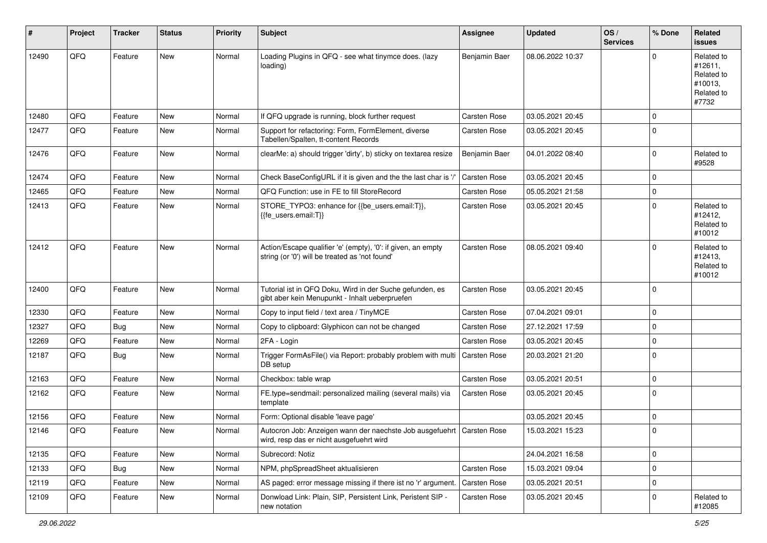| #     | Project | <b>Tracker</b> | <b>Status</b> | <b>Priority</b> | <b>Subject</b>                                                                                                      | Assignee      | <b>Updated</b>   | OS/<br><b>Services</b> | % Done      | Related<br><b>issues</b>                                              |
|-------|---------|----------------|---------------|-----------------|---------------------------------------------------------------------------------------------------------------------|---------------|------------------|------------------------|-------------|-----------------------------------------------------------------------|
| 12490 | QFQ     | Feature        | New           | Normal          | Loading Plugins in QFQ - see what tinymce does. (lazy<br>loading)                                                   | Benjamin Baer | 08.06.2022 10:37 |                        | $\Omega$    | Related to<br>#12611,<br>Related to<br>#10013,<br>Related to<br>#7732 |
| 12480 | QFQ     | Feature        | <b>New</b>    | Normal          | If QFQ upgrade is running, block further request                                                                    | Carsten Rose  | 03.05.2021 20:45 |                        | $\mathbf 0$ |                                                                       |
| 12477 | QFQ     | Feature        | New           | Normal          | Support for refactoring: Form, FormElement, diverse<br>Tabellen/Spalten, tt-content Records                         | Carsten Rose  | 03.05.2021 20:45 |                        | $\mathbf 0$ |                                                                       |
| 12476 | QFQ     | Feature        | New           | Normal          | clearMe: a) should trigger 'dirty', b) sticky on textarea resize                                                    | Benjamin Baer | 04.01.2022 08:40 |                        | $\mathbf 0$ | Related to<br>#9528                                                   |
| 12474 | QFQ     | Feature        | New           | Normal          | Check BaseConfigURL if it is given and the the last char is '/                                                      | Carsten Rose  | 03.05.2021 20:45 |                        | $\Omega$    |                                                                       |
| 12465 | QFQ     | Feature        | New           | Normal          | QFQ Function: use in FE to fill StoreRecord                                                                         | Carsten Rose  | 05.05.2021 21:58 |                        | $\mathbf 0$ |                                                                       |
| 12413 | QFQ     | Feature        | New           | Normal          | STORE_TYPO3: enhance for {{be_users.email:T}},<br>{{fe_users.email:T}}                                              | Carsten Rose  | 03.05.2021 20:45 |                        | $\mathbf 0$ | Related to<br>#12412,<br>Related to<br>#10012                         |
| 12412 | QFQ     | Feature        | New           | Normal          | Action/Escape qualifier 'e' (empty), '0': if given, an empty<br>string (or '0') will be treated as 'not found'      | Carsten Rose  | 08.05.2021 09:40 |                        | $\Omega$    | Related to<br>#12413,<br>Related to<br>#10012                         |
| 12400 | QFQ     | Feature        | New           | Normal          | Tutorial ist in QFQ Doku, Wird in der Suche gefunden, es<br>gibt aber kein Menupunkt - Inhalt ueberpruefen          | Carsten Rose  | 03.05.2021 20:45 |                        | $\Omega$    |                                                                       |
| 12330 | QFQ     | Feature        | New           | Normal          | Copy to input field / text area / TinyMCE                                                                           | Carsten Rose  | 07.04.2021 09:01 |                        | $\mathbf 0$ |                                                                       |
| 12327 | QFQ     | <b>Bug</b>     | <b>New</b>    | Normal          | Copy to clipboard: Glyphicon can not be changed                                                                     | Carsten Rose  | 27.12.2021 17:59 |                        | $\Omega$    |                                                                       |
| 12269 | QFQ     | Feature        | New           | Normal          | 2FA - Login                                                                                                         | Carsten Rose  | 03.05.2021 20:45 |                        | $\mathbf 0$ |                                                                       |
| 12187 | QFQ     | <b>Bug</b>     | New           | Normal          | Trigger FormAsFile() via Report: probably problem with multi<br>DB setup                                            | Carsten Rose  | 20.03.2021 21:20 |                        | $\Omega$    |                                                                       |
| 12163 | QFQ     | Feature        | <b>New</b>    | Normal          | Checkbox: table wrap                                                                                                | Carsten Rose  | 03.05.2021 20:51 |                        | 0           |                                                                       |
| 12162 | QFQ     | Feature        | New           | Normal          | FE.type=sendmail: personalized mailing (several mails) via<br>template                                              | Carsten Rose  | 03.05.2021 20:45 |                        | $\mathbf 0$ |                                                                       |
| 12156 | QFQ     | Feature        | New           | Normal          | Form: Optional disable 'leave page'                                                                                 |               | 03.05.2021 20:45 |                        | $\mathbf 0$ |                                                                       |
| 12146 | QFQ     | Feature        | New           | Normal          | Autocron Job: Anzeigen wann der naechste Job ausgefuehrt   Carsten Rose<br>wird, resp das er nicht ausgefuehrt wird |               | 15.03.2021 15:23 |                        | $\Omega$    |                                                                       |
| 12135 | QFQ     | Feature        | New           | Normal          | Subrecord: Notiz                                                                                                    |               | 24.04.2021 16:58 |                        | 0           |                                                                       |
| 12133 | QFQ     | Bug            | New           | Normal          | NPM, phpSpreadSheet aktualisieren                                                                                   | Carsten Rose  | 15.03.2021 09:04 |                        | 0           |                                                                       |
| 12119 | QFQ     | Feature        | New           | Normal          | AS paged: error message missing if there ist no 'r' argument.                                                       | Carsten Rose  | 03.05.2021 20:51 |                        | 0           |                                                                       |
| 12109 | QFQ     | Feature        | New           | Normal          | Donwload Link: Plain, SIP, Persistent Link, Peristent SIP -<br>new notation                                         | Carsten Rose  | 03.05.2021 20:45 |                        | 0           | Related to<br>#12085                                                  |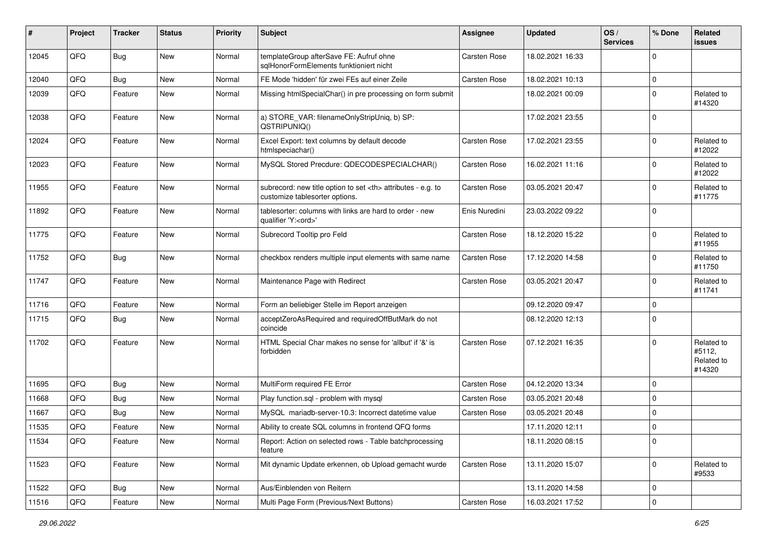| #     | Project | <b>Tracker</b> | <b>Status</b> | Priority | <b>Subject</b>                                                                                       | <b>Assignee</b>                                        | <b>Updated</b>   | OS/<br><b>Services</b> | % Done      | Related<br><b>issues</b>                     |                      |
|-------|---------|----------------|---------------|----------|------------------------------------------------------------------------------------------------------|--------------------------------------------------------|------------------|------------------------|-------------|----------------------------------------------|----------------------|
| 12045 | QFQ     | Bug            | <b>New</b>    | Normal   | templateGroup afterSave FE: Aufruf ohne<br>sqlHonorFormElements funktioniert nicht                   | Carsten Rose                                           | 18.02.2021 16:33 |                        | $\mathbf 0$ |                                              |                      |
| 12040 | QFQ     | <b>Bug</b>     | <b>New</b>    | Normal   | FE Mode 'hidden' für zwei FEs auf einer Zeile                                                        | Carsten Rose                                           | 18.02.2021 10:13 |                        | $\mathbf 0$ |                                              |                      |
| 12039 | QFQ     | Feature        | <b>New</b>    | Normal   | Missing htmlSpecialChar() in pre processing on form submit                                           |                                                        | 18.02.2021 00:09 |                        | $\Omega$    | Related to<br>#14320                         |                      |
| 12038 | QFQ     | Feature        | <b>New</b>    | Normal   | a) STORE_VAR: filenameOnlyStripUniq, b) SP:<br>QSTRIPUNIQ()                                          |                                                        | 17.02.2021 23:55 |                        | $\mathbf 0$ |                                              |                      |
| 12024 | QFQ     | Feature        | <b>New</b>    | Normal   | Excel Export: text columns by default decode<br>htmlspeciachar()                                     | Carsten Rose                                           | 17.02.2021 23:55 |                        | $\mathbf 0$ | Related to<br>#12022                         |                      |
| 12023 | QFQ     | Feature        | <b>New</b>    | Normal   | MySQL Stored Precdure: QDECODESPECIALCHAR()                                                          | <b>Carsten Rose</b>                                    | 16.02.2021 11:16 |                        | $\mathbf 0$ | Related to<br>#12022                         |                      |
| 11955 | QFQ     | Feature        | <b>New</b>    | Normal   | subrecord: new title option to set <th> attributes - e.g. to<br/>customize tablesorter options.</th> | attributes - e.g. to<br>customize tablesorter options. | Carsten Rose     | 03.05.2021 20:47       |             | $\mathbf 0$                                  | Related to<br>#11775 |
| 11892 | QFQ     | Feature        | <b>New</b>    | Normal   | tablesorter: columns with links are hard to order - new<br>qualifier 'Y: <ord>'</ord>                | Enis Nuredini                                          | 23.03.2022 09:22 |                        | $\mathbf 0$ |                                              |                      |
| 11775 | QFQ     | Feature        | New           | Normal   | Subrecord Tooltip pro Feld                                                                           | Carsten Rose                                           | 18.12.2020 15:22 |                        | $\mathbf 0$ | Related to<br>#11955                         |                      |
| 11752 | QFQ     | Bug            | New           | Normal   | checkbox renders multiple input elements with same name                                              | Carsten Rose                                           | 17.12.2020 14:58 |                        | $\mathbf 0$ | Related to<br>#11750                         |                      |
| 11747 | QFQ     | Feature        | <b>New</b>    | Normal   | Maintenance Page with Redirect                                                                       | Carsten Rose                                           | 03.05.2021 20:47 |                        | $\Omega$    | Related to<br>#11741                         |                      |
| 11716 | QFQ     | Feature        | <b>New</b>    | Normal   | Form an beliebiger Stelle im Report anzeigen                                                         |                                                        | 09.12.2020 09:47 |                        | $\Omega$    |                                              |                      |
| 11715 | QFQ     | <b>Bug</b>     | <b>New</b>    | Normal   | acceptZeroAsRequired and requiredOffButMark do not<br>coincide                                       |                                                        | 08.12.2020 12:13 |                        | 0           |                                              |                      |
| 11702 | QFQ     | Feature        | <b>New</b>    | Normal   | HTML Special Char makes no sense for 'allbut' if '&' is<br>forbidden                                 | Carsten Rose                                           | 07.12.2021 16:35 |                        | $\mathbf 0$ | Related to<br>#5112,<br>Related to<br>#14320 |                      |
| 11695 | QFQ     | Bug            | <b>New</b>    | Normal   | MultiForm required FE Error                                                                          | Carsten Rose                                           | 04.12.2020 13:34 |                        | $\mathbf 0$ |                                              |                      |
| 11668 | QFQ     | Bug            | <b>New</b>    | Normal   | Play function.sgl - problem with mysgl                                                               | Carsten Rose                                           | 03.05.2021 20:48 |                        | 0           |                                              |                      |
| 11667 | QFQ     | <b>Bug</b>     | <b>New</b>    | Normal   | MySQL mariadb-server-10.3: Incorrect datetime value                                                  | Carsten Rose                                           | 03.05.2021 20:48 |                        | $\mathbf 0$ |                                              |                      |
| 11535 | QFQ     | Feature        | New           | Normal   | Ability to create SQL columns in frontend QFQ forms                                                  |                                                        | 17.11.2020 12:11 |                        | 0           |                                              |                      |
| 11534 | QFG     | Feature        | New           | Normal   | Report: Action on selected rows - Table batchprocessing<br>feature                                   |                                                        | 18.11.2020 08:15 |                        | 0           |                                              |                      |
| 11523 | QFQ     | Feature        | New           | Normal   | Mit dynamic Update erkennen, ob Upload gemacht wurde                                                 | Carsten Rose                                           | 13.11.2020 15:07 |                        | 0           | Related to<br>#9533                          |                      |
| 11522 | QFQ     | <b>Bug</b>     | New           | Normal   | Aus/Einblenden von Reitern                                                                           |                                                        | 13.11.2020 14:58 |                        | 0           |                                              |                      |
| 11516 | QFQ     | Feature        | New           | Normal   | Multi Page Form (Previous/Next Buttons)                                                              | Carsten Rose                                           | 16.03.2021 17:52 |                        | 0           |                                              |                      |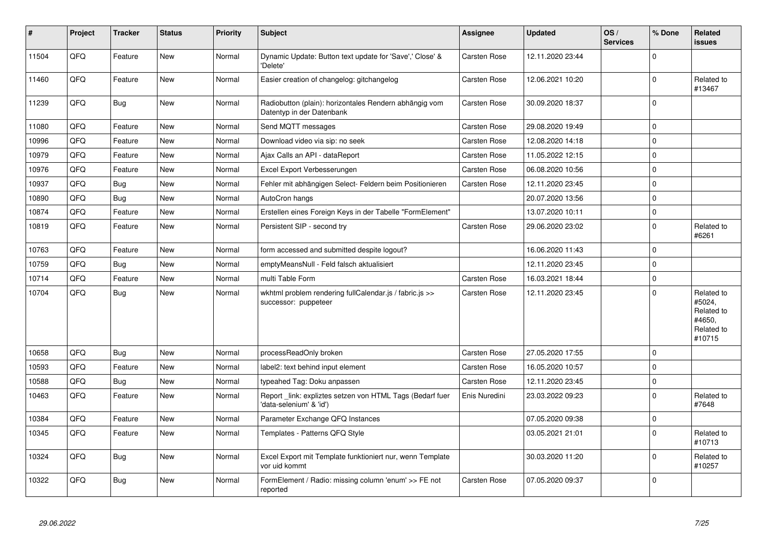| #     | Project | <b>Tracker</b> | <b>Status</b> | <b>Priority</b> | <b>Subject</b>                                                                       | <b>Assignee</b>     | <b>Updated</b>   | OS/<br><b>Services</b> | % Done      | Related<br><b>issues</b>                                             |
|-------|---------|----------------|---------------|-----------------|--------------------------------------------------------------------------------------|---------------------|------------------|------------------------|-------------|----------------------------------------------------------------------|
| 11504 | QFQ     | Feature        | <b>New</b>    | Normal          | Dynamic Update: Button text update for 'Save',' Close' &<br>'Delete'                 | Carsten Rose        | 12.11.2020 23:44 |                        | $\mathbf 0$ |                                                                      |
| 11460 | QFQ     | Feature        | <b>New</b>    | Normal          | Easier creation of changelog: gitchangelog                                           | Carsten Rose        | 12.06.2021 10:20 |                        | $\mathbf 0$ | Related to<br>#13467                                                 |
| 11239 | QFQ     | <b>Bug</b>     | <b>New</b>    | Normal          | Radiobutton (plain): horizontales Rendern abhängig vom<br>Datentyp in der Datenbank  | Carsten Rose        | 30.09.2020 18:37 |                        | $\mathbf 0$ |                                                                      |
| 11080 | QFQ     | Feature        | New           | Normal          | Send MQTT messages                                                                   | <b>Carsten Rose</b> | 29.08.2020 19:49 |                        | $\mathbf 0$ |                                                                      |
| 10996 | QFQ     | Feature        | New           | Normal          | Download video via sip: no seek                                                      | Carsten Rose        | 12.08.2020 14:18 |                        | $\mathbf 0$ |                                                                      |
| 10979 | QFQ     | Feature        | New           | Normal          | Ajax Calls an API - dataReport                                                       | <b>Carsten Rose</b> | 11.05.2022 12:15 |                        | $\mathbf 0$ |                                                                      |
| 10976 | QFQ     | Feature        | New           | Normal          | Excel Export Verbesserungen                                                          | <b>Carsten Rose</b> | 06.08.2020 10:56 |                        | $\pmb{0}$   |                                                                      |
| 10937 | QFQ     | <b>Bug</b>     | New           | Normal          | Fehler mit abhängigen Select- Feldern beim Positionieren                             | <b>Carsten Rose</b> | 12.11.2020 23:45 |                        | $\mathbf 0$ |                                                                      |
| 10890 | QFQ     | <b>Bug</b>     | <b>New</b>    | Normal          | AutoCron hangs                                                                       |                     | 20.07.2020 13:56 |                        | $\mathbf 0$ |                                                                      |
| 10874 | QFQ     | Feature        | <b>New</b>    | Normal          | Erstellen eines Foreign Keys in der Tabelle "FormElement"                            |                     | 13.07.2020 10:11 |                        | $\mathbf 0$ |                                                                      |
| 10819 | QFQ     | Feature        | New           | Normal          | Persistent SIP - second try                                                          | Carsten Rose        | 29.06.2020 23:02 |                        | $\pmb{0}$   | Related to<br>#6261                                                  |
| 10763 | QFQ     | Feature        | <b>New</b>    | Normal          | form accessed and submitted despite logout?                                          |                     | 16.06.2020 11:43 |                        | $\mathbf 0$ |                                                                      |
| 10759 | QFQ     | <b>Bug</b>     | <b>New</b>    | Normal          | emptyMeansNull - Feld falsch aktualisiert                                            |                     | 12.11.2020 23:45 |                        | $\mathbf 0$ |                                                                      |
| 10714 | QFQ     | Feature        | New           | Normal          | multi Table Form                                                                     | Carsten Rose        | 16.03.2021 18:44 |                        | $\pmb{0}$   |                                                                      |
| 10704 | QFQ     | <b>Bug</b>     | <b>New</b>    | Normal          | wkhtml problem rendering fullCalendar.js / fabric.js >><br>successor: puppeteer      | Carsten Rose        | 12.11.2020 23:45 |                        | $\mathbf 0$ | Related to<br>#5024,<br>Related to<br>#4650,<br>Related to<br>#10715 |
| 10658 | QFQ     | <b>Bug</b>     | <b>New</b>    | Normal          | processReadOnly broken                                                               | <b>Carsten Rose</b> | 27.05.2020 17:55 |                        | $\mathbf 0$ |                                                                      |
| 10593 | QFQ     | Feature        | New           | Normal          | label2: text behind input element                                                    | Carsten Rose        | 16.05.2020 10:57 |                        | $\mathbf 0$ |                                                                      |
| 10588 | QFQ     | <b>Bug</b>     | New           | Normal          | typeahed Tag: Doku anpassen                                                          | Carsten Rose        | 12.11.2020 23:45 |                        | $\pmb{0}$   |                                                                      |
| 10463 | QFQ     | Feature        | New           | Normal          | Report _link: expliztes setzen von HTML Tags (Bedarf fuer<br>'data-selenium' & 'id') | Enis Nuredini       | 23.03.2022 09:23 |                        | $\mathbf 0$ | Related to<br>#7648                                                  |
| 10384 | QFQ     | Feature        | <b>New</b>    | Normal          | Parameter Exchange QFQ Instances                                                     |                     | 07.05.2020 09:38 |                        | $\mathbf 0$ |                                                                      |
| 10345 | QFQ     | Feature        | New           | Normal          | Templates - Patterns QFQ Style                                                       |                     | 03.05.2021 21:01 |                        | $\mathbf 0$ | Related to<br>#10713                                                 |
| 10324 | QFQ     | <b>Bug</b>     | New           | Normal          | Excel Export mit Template funktioniert nur, wenn Template<br>vor uid kommt           |                     | 30.03.2020 11:20 |                        | $\mathbf 0$ | Related to<br>#10257                                                 |
| 10322 | QFQ     | Bug            | <b>New</b>    | Normal          | FormElement / Radio: missing column 'enum' >> FE not<br>reported                     | Carsten Rose        | 07.05.2020 09:37 |                        | $\mathbf 0$ |                                                                      |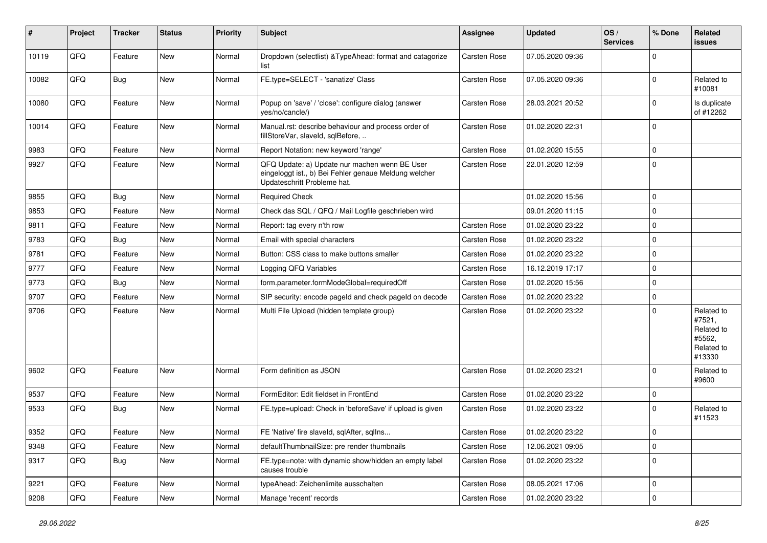| #     | Project | <b>Tracker</b> | <b>Status</b> | <b>Priority</b> | <b>Subject</b>                                                                                                                        | <b>Assignee</b> | <b>Updated</b>   | OS/<br><b>Services</b> | % Done      | Related<br><b>issues</b>                                             |
|-------|---------|----------------|---------------|-----------------|---------------------------------------------------------------------------------------------------------------------------------------|-----------------|------------------|------------------------|-------------|----------------------------------------------------------------------|
| 10119 | QFQ     | Feature        | <b>New</b>    | Normal          | Dropdown (selectlist) & TypeAhead: format and catagorize<br>list                                                                      | Carsten Rose    | 07.05.2020 09:36 |                        | $\Omega$    |                                                                      |
| 10082 | QFQ     | Bug            | New           | Normal          | FE.type=SELECT - 'sanatize' Class                                                                                                     | Carsten Rose    | 07.05.2020 09:36 |                        | $\Omega$    | Related to<br>#10081                                                 |
| 10080 | QFQ     | Feature        | <b>New</b>    | Normal          | Popup on 'save' / 'close': configure dialog (answer<br>yes/no/cancle/)                                                                | Carsten Rose    | 28.03.2021 20:52 |                        | $\Omega$    | Is duplicate<br>of #12262                                            |
| 10014 | QFQ     | Feature        | New           | Normal          | Manual.rst: describe behaviour and process order of<br>fillStoreVar, slaveId, sqlBefore,                                              | Carsten Rose    | 01.02.2020 22:31 |                        | $\Omega$    |                                                                      |
| 9983  | QFQ     | Feature        | <b>New</b>    | Normal          | Report Notation: new keyword 'range'                                                                                                  | Carsten Rose    | 01.02.2020 15:55 |                        | $\mathbf 0$ |                                                                      |
| 9927  | QFQ     | Feature        | New           | Normal          | QFQ Update: a) Update nur machen wenn BE User<br>eingeloggt ist., b) Bei Fehler genaue Meldung welcher<br>Updateschritt Probleme hat. | Carsten Rose    | 22.01.2020 12:59 |                        | $\Omega$    |                                                                      |
| 9855  | QFQ     | Bug            | <b>New</b>    | Normal          | <b>Required Check</b>                                                                                                                 |                 | 01.02.2020 15:56 |                        | $\mathbf 0$ |                                                                      |
| 9853  | QFQ     | Feature        | New           | Normal          | Check das SQL / QFQ / Mail Logfile geschrieben wird                                                                                   |                 | 09.01.2020 11:15 |                        | $\Omega$    |                                                                      |
| 9811  | QFQ     | Feature        | New           | Normal          | Report: tag every n'th row                                                                                                            | Carsten Rose    | 01.02.2020 23:22 |                        | $\mathbf 0$ |                                                                      |
| 9783  | QFQ     | <b>Bug</b>     | New           | Normal          | Email with special characters                                                                                                         | Carsten Rose    | 01.02.2020 23:22 |                        | $\Omega$    |                                                                      |
| 9781  | QFQ     | Feature        | <b>New</b>    | Normal          | Button: CSS class to make buttons smaller                                                                                             | Carsten Rose    | 01.02.2020 23:22 |                        | $\mathbf 0$ |                                                                      |
| 9777  | QFQ     | Feature        | New           | Normal          | Logging QFQ Variables                                                                                                                 | Carsten Rose    | 16.12.2019 17:17 |                        | $\mathbf 0$ |                                                                      |
| 9773  | QFQ     | <b>Bug</b>     | New           | Normal          | form.parameter.formModeGlobal=requiredOff                                                                                             | Carsten Rose    | 01.02.2020 15:56 |                        | $\Omega$    |                                                                      |
| 9707  | QFQ     | Feature        | <b>New</b>    | Normal          | SIP security: encode pageId and check pageId on decode                                                                                | Carsten Rose    | 01.02.2020 23:22 |                        | $\mathbf 0$ |                                                                      |
| 9706  | QFQ     | Feature        | New           | Normal          | Multi File Upload (hidden template group)                                                                                             | Carsten Rose    | 01.02.2020 23:22 |                        | $\Omega$    | Related to<br>#7521,<br>Related to<br>#5562,<br>Related to<br>#13330 |
| 9602  | QFQ     | Feature        | <b>New</b>    | Normal          | Form definition as JSON                                                                                                               | Carsten Rose    | 01.02.2020 23:21 |                        | $\Omega$    | Related to<br>#9600                                                  |
| 9537  | QFQ     | Feature        | New           | Normal          | FormEditor: Edit fieldset in FrontEnd                                                                                                 | Carsten Rose    | 01.02.2020 23:22 |                        | 0           |                                                                      |
| 9533  | QFQ     | Bug            | New           | Normal          | FE.type=upload: Check in 'beforeSave' if upload is given                                                                              | Carsten Rose    | 01.02.2020 23:22 |                        | $\Omega$    | Related to<br>#11523                                                 |
| 9352  | QFQ     | Feature        | New           | Normal          | FE 'Native' fire slaveld, sqlAfter, sqlIns                                                                                            | Carsten Rose    | 01.02.2020 23:22 |                        | $\mathbf 0$ |                                                                      |
| 9348  | QFQ     | Feature        | New           | Normal          | defaultThumbnailSize: pre render thumbnails                                                                                           | Carsten Rose    | 12.06.2021 09:05 |                        | $\mathbf 0$ |                                                                      |
| 9317  | QFQ     | <b>Bug</b>     | New           | Normal          | FE.type=note: with dynamic show/hidden an empty label<br>causes trouble                                                               | Carsten Rose    | 01.02.2020 23:22 |                        | $\mathbf 0$ |                                                                      |
| 9221  | QFQ     | Feature        | New           | Normal          | typeAhead: Zeichenlimite ausschalten                                                                                                  | Carsten Rose    | 08.05.2021 17:06 |                        | $\pmb{0}$   |                                                                      |
| 9208  | QFQ     | Feature        | New           | Normal          | Manage 'recent' records                                                                                                               | Carsten Rose    | 01.02.2020 23:22 |                        | $\mathbf 0$ |                                                                      |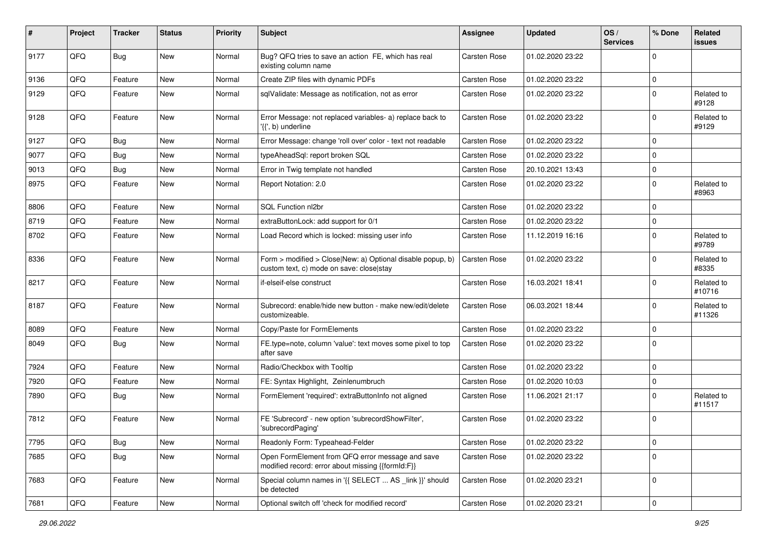| #    | Project | <b>Tracker</b> | <b>Status</b> | <b>Priority</b> | <b>Subject</b>                                                                                         | <b>Assignee</b> | <b>Updated</b>   | OS/<br><b>Services</b> | % Done      | Related<br>issues    |
|------|---------|----------------|---------------|-----------------|--------------------------------------------------------------------------------------------------------|-----------------|------------------|------------------------|-------------|----------------------|
| 9177 | QFQ     | <b>Bug</b>     | New           | Normal          | Bug? QFQ tries to save an action FE, which has real<br>existing column name                            | Carsten Rose    | 01.02.2020 23:22 |                        | $\mathbf 0$ |                      |
| 9136 | QFQ     | Feature        | New           | Normal          | Create ZIP files with dynamic PDFs                                                                     | Carsten Rose    | 01.02.2020 23:22 |                        | $\mathbf 0$ |                      |
| 9129 | QFQ     | Feature        | New           | Normal          | sqlValidate: Message as notification, not as error                                                     | Carsten Rose    | 01.02.2020 23:22 |                        | $\Omega$    | Related to<br>#9128  |
| 9128 | QFQ     | Feature        | New           | Normal          | Error Message: not replaced variables- a) replace back to<br>'{{', b) underline                        | Carsten Rose    | 01.02.2020 23:22 |                        | $\mathbf 0$ | Related to<br>#9129  |
| 9127 | QFQ     | <b>Bug</b>     | <b>New</b>    | Normal          | Error Message: change 'roll over' color - text not readable                                            | Carsten Rose    | 01.02.2020 23:22 |                        | $\Omega$    |                      |
| 9077 | QFQ     | <b>Bug</b>     | <b>New</b>    | Normal          | typeAheadSql: report broken SQL                                                                        | Carsten Rose    | 01.02.2020 23:22 |                        | $\Omega$    |                      |
| 9013 | QFQ     | Bug            | New           | Normal          | Error in Twig template not handled                                                                     | Carsten Rose    | 20.10.2021 13:43 |                        | $\mathbf 0$ |                      |
| 8975 | QFQ     | Feature        | New           | Normal          | Report Notation: 2.0                                                                                   | Carsten Rose    | 01.02.2020 23:22 |                        | $\mathbf 0$ | Related to<br>#8963  |
| 8806 | QFQ     | Feature        | New           | Normal          | SQL Function nl2br                                                                                     | Carsten Rose    | 01.02.2020 23:22 |                        | $\mathbf 0$ |                      |
| 8719 | QFQ     | Feature        | New           | Normal          | extraButtonLock: add support for 0/1                                                                   | Carsten Rose    | 01.02.2020 23:22 |                        | $\mathbf 0$ |                      |
| 8702 | QFQ     | Feature        | New           | Normal          | Load Record which is locked: missing user info                                                         | Carsten Rose    | 11.12.2019 16:16 |                        | 0           | Related to<br>#9789  |
| 8336 | QFQ     | Feature        | New           | Normal          | Form > modified > Close New: a) Optional disable popup, b)<br>custom text, c) mode on save: close stay | Carsten Rose    | 01.02.2020 23:22 |                        | $\Omega$    | Related to<br>#8335  |
| 8217 | QFQ     | Feature        | New           | Normal          | if-elseif-else construct                                                                               | Carsten Rose    | 16.03.2021 18:41 |                        | $\mathbf 0$ | Related to<br>#10716 |
| 8187 | QFQ     | Feature        | New           | Normal          | Subrecord: enable/hide new button - make new/edit/delete<br>customizeable.                             | Carsten Rose    | 06.03.2021 18:44 |                        | $\mathbf 0$ | Related to<br>#11326 |
| 8089 | QFQ     | Feature        | <b>New</b>    | Normal          | Copy/Paste for FormElements                                                                            | Carsten Rose    | 01.02.2020 23:22 |                        | 0           |                      |
| 8049 | QFQ     | <b>Bug</b>     | New           | Normal          | FE.type=note, column 'value': text moves some pixel to top<br>after save                               | Carsten Rose    | 01.02.2020 23:22 |                        | $\Omega$    |                      |
| 7924 | QFQ     | Feature        | New           | Normal          | Radio/Checkbox with Tooltip                                                                            | Carsten Rose    | 01.02.2020 23:22 |                        | 0           |                      |
| 7920 | QFQ     | Feature        | New           | Normal          | FE: Syntax Highlight, Zeinlenumbruch                                                                   | Carsten Rose    | 01.02.2020 10:03 |                        | $\mathbf 0$ |                      |
| 7890 | QFQ     | Bug            | New           | Normal          | FormElement 'required': extraButtonInfo not aligned                                                    | Carsten Rose    | 11.06.2021 21:17 |                        | $\Omega$    | Related to<br>#11517 |
| 7812 | QFQ     | Feature        | New           | Normal          | FE 'Subrecord' - new option 'subrecordShowFilter',<br>'subrecordPaging'                                | Carsten Rose    | 01.02.2020 23:22 |                        | $\mathbf 0$ |                      |
| 7795 | QFQ     | <b>Bug</b>     | New           | Normal          | Readonly Form: Typeahead-Felder                                                                        | Carsten Rose    | 01.02.2020 23:22 |                        | 0           |                      |
| 7685 | QFQ     | Bug            | New           | Normal          | Open FormElement from QFQ error message and save<br>modified record: error about missing {{formId:F}}  | Carsten Rose    | 01.02.2020 23:22 |                        | 0           |                      |
| 7683 | QFQ     | Feature        | New           | Normal          | Special column names in '{{ SELECT  AS _link }}' should<br>be detected                                 | Carsten Rose    | 01.02.2020 23:21 |                        | 0           |                      |
| 7681 | QFQ     | Feature        | New           | Normal          | Optional switch off 'check for modified record'                                                        | Carsten Rose    | 01.02.2020 23:21 |                        | $\pmb{0}$   |                      |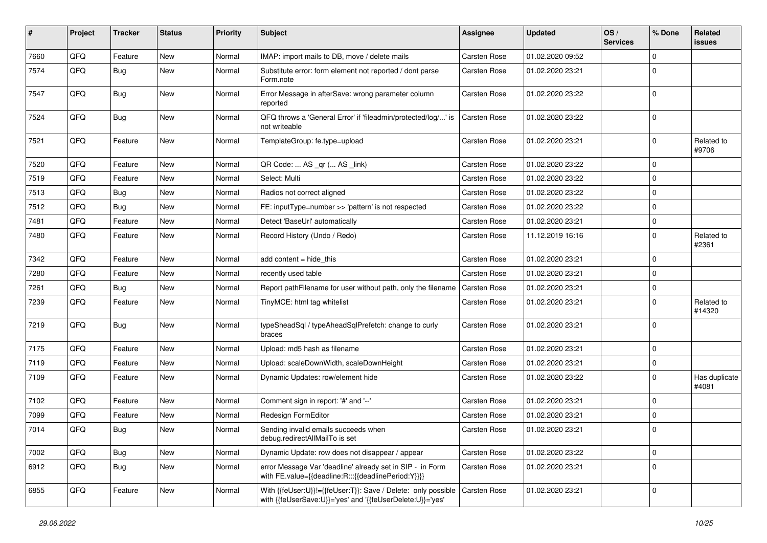| #    | Project | <b>Tracker</b> | <b>Status</b> | <b>Priority</b> | <b>Subject</b>                                                                                                             | Assignee     | <b>Updated</b>   | OS/<br><b>Services</b> | % Done      | Related<br><b>issues</b> |
|------|---------|----------------|---------------|-----------------|----------------------------------------------------------------------------------------------------------------------------|--------------|------------------|------------------------|-------------|--------------------------|
| 7660 | QFQ     | Feature        | <b>New</b>    | Normal          | IMAP: import mails to DB, move / delete mails                                                                              | Carsten Rose | 01.02.2020 09:52 |                        | $\Omega$    |                          |
| 7574 | QFQ     | <b>Bug</b>     | New           | Normal          | Substitute error: form element not reported / dont parse<br>Form.note                                                      | Carsten Rose | 01.02.2020 23:21 |                        | $\mathbf 0$ |                          |
| 7547 | QFQ     | Bug            | <b>New</b>    | Normal          | Error Message in afterSave: wrong parameter column<br>reported                                                             | Carsten Rose | 01.02.2020 23:22 |                        | $\mathbf 0$ |                          |
| 7524 | QFQ     | Bug            | <b>New</b>    | Normal          | QFQ throws a 'General Error' if 'fileadmin/protected/log/' is<br>not writeable                                             | Carsten Rose | 01.02.2020 23:22 |                        | $\mathbf 0$ |                          |
| 7521 | QFQ     | Feature        | New           | Normal          | TemplateGroup: fe.type=upload                                                                                              | Carsten Rose | 01.02.2020 23:21 |                        | $\mathbf 0$ | Related to<br>#9706      |
| 7520 | QFQ     | Feature        | <b>New</b>    | Normal          | QR Code:  AS _qr ( AS _link)                                                                                               | Carsten Rose | 01.02.2020 23:22 |                        | $\mathbf 0$ |                          |
| 7519 | QFQ     | Feature        | New           | Normal          | Select: Multi                                                                                                              | Carsten Rose | 01.02.2020 23:22 |                        | $\mathbf 0$ |                          |
| 7513 | QFQ     | <b>Bug</b>     | <b>New</b>    | Normal          | Radios not correct aligned                                                                                                 | Carsten Rose | 01.02.2020 23:22 |                        | $\mathbf 0$ |                          |
| 7512 | QFQ     | <b>Bug</b>     | New           | Normal          | FE: inputType=number >> 'pattern' is not respected                                                                         | Carsten Rose | 01.02.2020 23:22 |                        | $\mathbf 0$ |                          |
| 7481 | QFQ     | Feature        | New           | Normal          | Detect 'BaseUrl' automatically                                                                                             | Carsten Rose | 01.02.2020 23:21 |                        | $\mathbf 0$ |                          |
| 7480 | QFQ     | Feature        | New           | Normal          | Record History (Undo / Redo)                                                                                               | Carsten Rose | 11.12.2019 16:16 |                        | $\mathbf 0$ | Related to<br>#2361      |
| 7342 | QFQ     | Feature        | <b>New</b>    | Normal          | add content = hide_this                                                                                                    | Carsten Rose | 01.02.2020 23:21 |                        | $\mathbf 0$ |                          |
| 7280 | QFQ     | Feature        | New           | Normal          | recently used table                                                                                                        | Carsten Rose | 01.02.2020 23:21 |                        | $\mathbf 0$ |                          |
| 7261 | QFQ     | <b>Bug</b>     | New           | Normal          | Report pathFilename for user without path, only the filename                                                               | Carsten Rose | 01.02.2020 23:21 |                        | $\mathbf 0$ |                          |
| 7239 | QFQ     | Feature        | <b>New</b>    | Normal          | TinyMCE: html tag whitelist                                                                                                | Carsten Rose | 01.02.2020 23:21 |                        | $\mathbf 0$ | Related to<br>#14320     |
| 7219 | QFQ     | <b>Bug</b>     | New           | Normal          | typeSheadSql / typeAheadSqlPrefetch: change to curly<br>braces                                                             | Carsten Rose | 01.02.2020 23:21 |                        | $\mathbf 0$ |                          |
| 7175 | QFQ     | Feature        | <b>New</b>    | Normal          | Upload: md5 hash as filename                                                                                               | Carsten Rose | 01.02.2020 23:21 |                        | $\mathbf 0$ |                          |
| 7119 | QFQ     | Feature        | New           | Normal          | Upload: scaleDownWidth, scaleDownHeight                                                                                    | Carsten Rose | 01.02.2020 23:21 |                        | $\mathbf 0$ |                          |
| 7109 | QFQ     | Feature        | New           | Normal          | Dynamic Updates: row/element hide                                                                                          | Carsten Rose | 01.02.2020 23:22 |                        | $\mathbf 0$ | Has duplicate<br>#4081   |
| 7102 | QFQ     | Feature        | <b>New</b>    | Normal          | Comment sign in report: '#' and '--'                                                                                       | Carsten Rose | 01.02.2020 23:21 |                        | $\mathbf 0$ |                          |
| 7099 | QFQ     | Feature        | New           | Normal          | Redesign FormEditor                                                                                                        | Carsten Rose | 01.02.2020 23:21 |                        | $\mathbf 0$ |                          |
| 7014 | QFQ     | <b>Bug</b>     | New           | Normal          | Sending invalid emails succeeds when<br>debug.redirectAllMailTo is set                                                     | Carsten Rose | 01.02.2020 23:21 |                        | $\mathbf 0$ |                          |
| 7002 | QFQ     | <b>Bug</b>     | New           | Normal          | Dynamic Update: row does not disappear / appear                                                                            | Carsten Rose | 01.02.2020 23:22 |                        | $\mathbf 0$ |                          |
| 6912 | QFQ     | <b>Bug</b>     | New           | Normal          | error Message Var 'deadline' already set in SIP - in Form<br>with FE.value={{deadline:R:::{{deadlinePeriod:Y}}}}           | Carsten Rose | 01.02.2020 23:21 |                        | $\mathbf 0$ |                          |
| 6855 | QFQ     | Feature        | New           | Normal          | With {{feUser:U}}!={{feUser:T}}: Save / Delete: only possible<br>with {{feUserSave:U}}='yes' and '{{feUserDelete:U}}='yes' | Carsten Rose | 01.02.2020 23:21 |                        | $\mathbf 0$ |                          |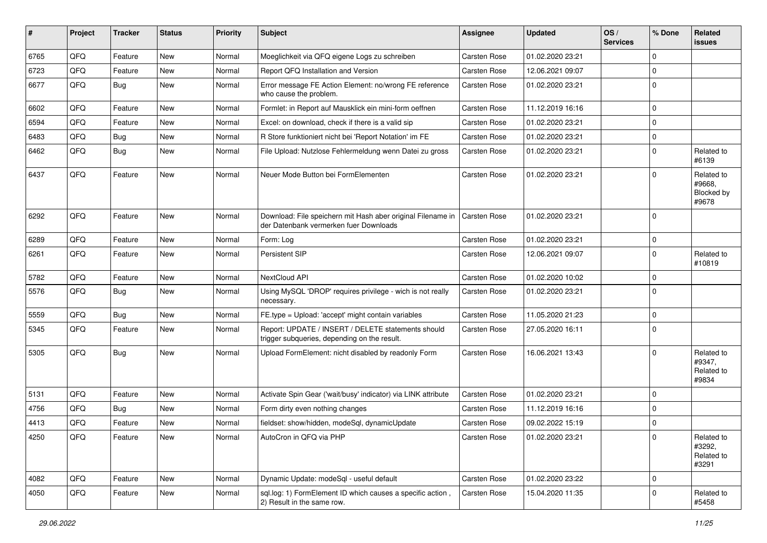| $\vert$ # | Project | <b>Tracker</b> | <b>Status</b> | <b>Priority</b> | <b>Subject</b>                                                                                        | <b>Assignee</b> | <b>Updated</b>   | OS/<br><b>Services</b> | % Done      | <b>Related</b><br>issues                    |
|-----------|---------|----------------|---------------|-----------------|-------------------------------------------------------------------------------------------------------|-----------------|------------------|------------------------|-------------|---------------------------------------------|
| 6765      | QFQ     | Feature        | <b>New</b>    | Normal          | Moeglichkeit via QFQ eigene Logs zu schreiben                                                         | Carsten Rose    | 01.02.2020 23:21 |                        | $\Omega$    |                                             |
| 6723      | QFQ     | Feature        | <b>New</b>    | Normal          | Report QFQ Installation and Version                                                                   | Carsten Rose    | 12.06.2021 09:07 |                        | 0           |                                             |
| 6677      | QFQ     | Bug            | <b>New</b>    | Normal          | Error message FE Action Element: no/wrong FE reference<br>who cause the problem.                      | Carsten Rose    | 01.02.2020 23:21 |                        | $\Omega$    |                                             |
| 6602      | QFQ     | Feature        | New           | Normal          | Formlet: in Report auf Mausklick ein mini-form oeffnen                                                | Carsten Rose    | 11.12.2019 16:16 |                        | $\Omega$    |                                             |
| 6594      | QFQ     | Feature        | New           | Normal          | Excel: on download, check if there is a valid sip                                                     | Carsten Rose    | 01.02.2020 23:21 |                        | $\mathbf 0$ |                                             |
| 6483      | QFQ     | <b>Bug</b>     | New           | Normal          | R Store funktioniert nicht bei 'Report Notation' im FE                                                | Carsten Rose    | 01.02.2020 23:21 |                        | 0           |                                             |
| 6462      | QFQ     | <b>Bug</b>     | New           | Normal          | File Upload: Nutzlose Fehlermeldung wenn Datei zu gross                                               | Carsten Rose    | 01.02.2020 23:21 |                        | $\mathbf 0$ | Related to<br>#6139                         |
| 6437      | QFQ     | Feature        | <b>New</b>    | Normal          | Neuer Mode Button bei FormElementen                                                                   | Carsten Rose    | 01.02.2020 23:21 |                        | $\Omega$    | Related to<br>#9668,<br>Blocked by<br>#9678 |
| 6292      | QFQ     | Feature        | <b>New</b>    | Normal          | Download: File speichern mit Hash aber original Filename in<br>der Datenbank vermerken fuer Downloads | Carsten Rose    | 01.02.2020 23:21 |                        | 0           |                                             |
| 6289      | QFQ     | Feature        | <b>New</b>    | Normal          | Form: Log                                                                                             | Carsten Rose    | 01.02.2020 23:21 |                        | 0           |                                             |
| 6261      | QFQ     | Feature        | New           | Normal          | Persistent SIP                                                                                        | Carsten Rose    | 12.06.2021 09:07 |                        | $\mathbf 0$ | Related to<br>#10819                        |
| 5782      | QFQ     | Feature        | <b>New</b>    | Normal          | NextCloud API                                                                                         | Carsten Rose    | 01.02.2020 10:02 |                        | $\Omega$    |                                             |
| 5576      | QFQ     | Bug            | <b>New</b>    | Normal          | Using MySQL 'DROP' requires privilege - wich is not really<br>necessary.                              | Carsten Rose    | 01.02.2020 23:21 |                        | $\Omega$    |                                             |
| 5559      | QFQ     | <b>Bug</b>     | New           | Normal          | FE.type = Upload: 'accept' might contain variables                                                    | Carsten Rose    | 11.05.2020 21:23 |                        | 0           |                                             |
| 5345      | QFQ     | Feature        | <b>New</b>    | Normal          | Report: UPDATE / INSERT / DELETE statements should<br>trigger subqueries, depending on the result.    | Carsten Rose    | 27.05.2020 16:11 |                        | $\Omega$    |                                             |
| 5305      | QFQ     | Bug            | <b>New</b>    | Normal          | Upload FormElement: nicht disabled by readonly Form                                                   | Carsten Rose    | 16.06.2021 13:43 |                        | 0           | Related to<br>#9347,<br>Related to<br>#9834 |
| 5131      | QFQ     | Feature        | <b>New</b>    | Normal          | Activate Spin Gear ('wait/busy' indicator) via LINK attribute                                         | Carsten Rose    | 01.02.2020 23:21 |                        | $\Omega$    |                                             |
| 4756      | QFQ     | <b>Bug</b>     | <b>New</b>    | Normal          | Form dirty even nothing changes                                                                       | Carsten Rose    | 11.12.2019 16:16 |                        | $\Omega$    |                                             |
| 4413      | QFQ     | Feature        | New           | Normal          | fieldset: show/hidden, modeSql, dynamicUpdate                                                         | Carsten Rose    | 09.02.2022 15:19 |                        | $\mathbf 0$ |                                             |
| 4250      | QFQ     | Feature        | New           | Normal          | AutoCron in QFQ via PHP                                                                               | Carsten Rose    | 01.02.2020 23:21 |                        | 0           | Related to<br>#3292,<br>Related to<br>#3291 |
| 4082      | QFQ     | Feature        | New           | Normal          | Dynamic Update: modeSql - useful default                                                              | Carsten Rose    | 01.02.2020 23:22 |                        | 0           |                                             |
| 4050      | QFO     | Feature        | New           | Normal          | sql.log: 1) FormElement ID which causes a specific action,<br>2) Result in the same row.              | Carsten Rose    | 15.04.2020 11:35 |                        | 0           | Related to<br>#5458                         |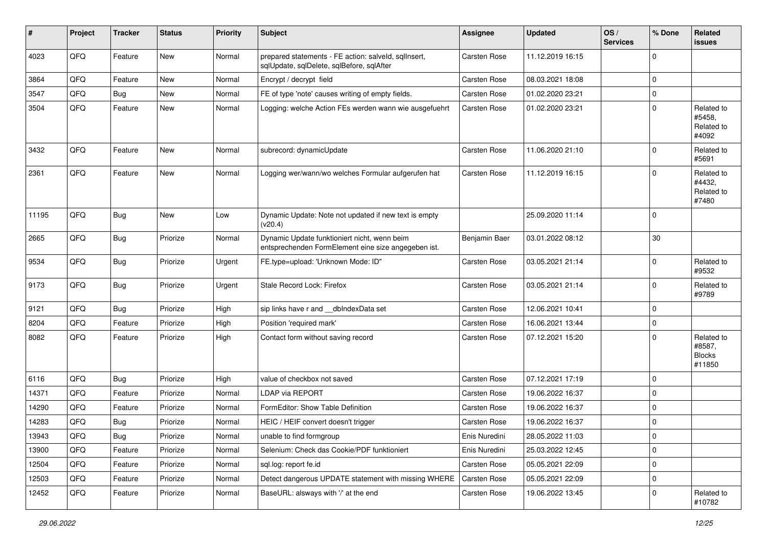| #     | Project | <b>Tracker</b> | <b>Status</b> | <b>Priority</b> | <b>Subject</b>                                                                                      | <b>Assignee</b>     | <b>Updated</b>   | OS/<br><b>Services</b> | % Done      | Related<br><b>issues</b>                        |
|-------|---------|----------------|---------------|-----------------|-----------------------------------------------------------------------------------------------------|---------------------|------------------|------------------------|-------------|-------------------------------------------------|
| 4023  | QFQ     | Feature        | New           | Normal          | prepared statements - FE action: salveld, sqllnsert,<br>sqlUpdate, sqlDelete, sqlBefore, sqlAfter   | Carsten Rose        | 11.12.2019 16:15 |                        | $\Omega$    |                                                 |
| 3864  | QFQ     | Feature        | New           | Normal          | Encrypt / decrypt field                                                                             | Carsten Rose        | 08.03.2021 18:08 |                        | 0           |                                                 |
| 3547  | QFQ     | <b>Bug</b>     | New           | Normal          | FE of type 'note' causes writing of empty fields.                                                   | Carsten Rose        | 01.02.2020 23:21 |                        | 0           |                                                 |
| 3504  | QFQ     | Feature        | <b>New</b>    | Normal          | Logging: welche Action FEs werden wann wie ausgefuehrt                                              | Carsten Rose        | 01.02.2020 23:21 |                        | 0           | Related to<br>#5458,<br>Related to<br>#4092     |
| 3432  | QFQ     | Feature        | <b>New</b>    | Normal          | subrecord: dynamicUpdate                                                                            | Carsten Rose        | 11.06.2020 21:10 |                        | 0           | Related to<br>#5691                             |
| 2361  | QFQ     | Feature        | <b>New</b>    | Normal          | Logging wer/wann/wo welches Formular aufgerufen hat                                                 | Carsten Rose        | 11.12.2019 16:15 |                        | $\Omega$    | Related to<br>#4432,<br>Related to<br>#7480     |
| 11195 | QFQ     | Bug            | <b>New</b>    | Low             | Dynamic Update: Note not updated if new text is empty<br>(v20.4)                                    |                     | 25.09.2020 11:14 |                        | 0           |                                                 |
| 2665  | QFQ     | <b>Bug</b>     | Priorize      | Normal          | Dynamic Update funktioniert nicht, wenn beim<br>entsprechenden FormElement eine size angegeben ist. | Benjamin Baer       | 03.01.2022 08:12 |                        | 30          |                                                 |
| 9534  | QFQ     | Bug            | Priorize      | Urgent          | FE.type=upload: 'Unknown Mode: ID"                                                                  | <b>Carsten Rose</b> | 03.05.2021 21:14 |                        | 0           | Related to<br>#9532                             |
| 9173  | QFQ     | <b>Bug</b>     | Priorize      | Urgent          | Stale Record Lock: Firefox                                                                          | Carsten Rose        | 03.05.2021 21:14 |                        | 0           | Related to<br>#9789                             |
| 9121  | QFQ     | Bug            | Priorize      | High            | sip links have r and __dbIndexData set                                                              | <b>Carsten Rose</b> | 12.06.2021 10:41 |                        | $\mathbf 0$ |                                                 |
| 8204  | QFQ     | Feature        | Priorize      | High            | Position 'required mark'                                                                            | Carsten Rose        | 16.06.2021 13:44 |                        | 0           |                                                 |
| 8082  | QFQ     | Feature        | Priorize      | High            | Contact form without saving record                                                                  | Carsten Rose        | 07.12.2021 15:20 |                        | 0           | Related to<br>#8587,<br><b>Blocks</b><br>#11850 |
| 6116  | QFQ     | <b>Bug</b>     | Priorize      | High            | value of checkbox not saved                                                                         | <b>Carsten Rose</b> | 07.12.2021 17:19 |                        | $\mathbf 0$ |                                                 |
| 14371 | QFQ     | Feature        | Priorize      | Normal          | LDAP via REPORT                                                                                     | <b>Carsten Rose</b> | 19.06.2022 16:37 |                        | 0           |                                                 |
| 14290 | QFQ     | Feature        | Priorize      | Normal          | FormEditor: Show Table Definition                                                                   | Carsten Rose        | 19.06.2022 16:37 |                        | 0           |                                                 |
| 14283 | QFQ     | <b>Bug</b>     | Priorize      | Normal          | HEIC / HEIF convert doesn't trigger                                                                 | Carsten Rose        | 19.06.2022 16:37 |                        | $\mathbf 0$ |                                                 |
| 13943 | QFQ     | <b>Bug</b>     | Priorize      | Normal          | unable to find formgroup                                                                            | Enis Nuredini       | 28.05.2022 11:03 |                        | U           |                                                 |
| 13900 | QFQ     | Feature        | Priorize      | Normal          | Selenium: Check das Cookie/PDF funktioniert                                                         | Enis Nuredini       | 25.03.2022 12:45 |                        | 0           |                                                 |
| 12504 | QFQ     | Feature        | Priorize      | Normal          | sql.log: report fe.id                                                                               | Carsten Rose        | 05.05.2021 22:09 |                        | 0           |                                                 |
| 12503 | QFQ     | Feature        | Priorize      | Normal          | Detect dangerous UPDATE statement with missing WHERE                                                | Carsten Rose        | 05.05.2021 22:09 |                        | 0           |                                                 |
| 12452 | QFQ     | Feature        | Priorize      | Normal          | BaseURL: alsways with '/' at the end                                                                | Carsten Rose        | 19.06.2022 13:45 |                        | 0           | Related to<br>#10782                            |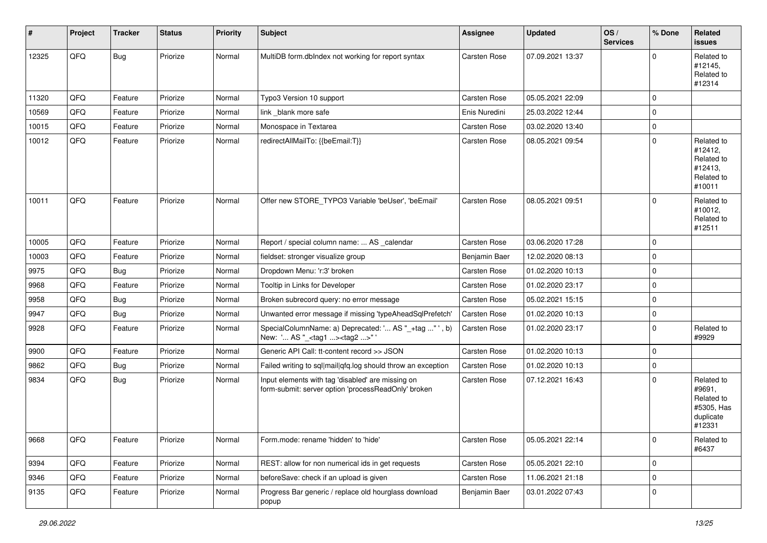| #     | Project | <b>Tracker</b> | <b>Status</b> | <b>Priority</b> | <b>Subject</b>                                                                                           | <b>Assignee</b> | <b>Updated</b>   | OS/<br><b>Services</b> | % Done      | Related<br><b>issues</b>                                                |
|-------|---------|----------------|---------------|-----------------|----------------------------------------------------------------------------------------------------------|-----------------|------------------|------------------------|-------------|-------------------------------------------------------------------------|
| 12325 | QFQ     | Bug            | Priorize      | Normal          | MultiDB form.dblndex not working for report syntax                                                       | Carsten Rose    | 07.09.2021 13:37 |                        | $\Omega$    | Related to<br>#12145,<br>Related to<br>#12314                           |
| 11320 | QFQ     | Feature        | Priorize      | Normal          | Typo3 Version 10 support                                                                                 | Carsten Rose    | 05.05.2021 22:09 |                        | $\Omega$    |                                                                         |
| 10569 | QFQ     | Feature        | Priorize      | Normal          | link blank more safe                                                                                     | Enis Nuredini   | 25.03.2022 12:44 |                        | $\mathbf 0$ |                                                                         |
| 10015 | QFQ     | Feature        | Priorize      | Normal          | Monospace in Textarea                                                                                    | Carsten Rose    | 03.02.2020 13:40 |                        | $\mathbf 0$ |                                                                         |
| 10012 | QFQ     | Feature        | Priorize      | Normal          | redirectAllMailTo: {{beEmail:T}}                                                                         | Carsten Rose    | 08.05.2021 09:54 |                        | $\mathbf 0$ | Related to<br>#12412,<br>Related to<br>#12413.<br>Related to<br>#10011  |
| 10011 | QFQ     | Feature        | Priorize      | Normal          | Offer new STORE_TYPO3 Variable 'beUser', 'beEmail'                                                       | Carsten Rose    | 08.05.2021 09:51 |                        | $\Omega$    | Related to<br>#10012,<br>Related to<br>#12511                           |
| 10005 | QFQ     | Feature        | Priorize      | Normal          | Report / special column name:  AS _calendar                                                              | Carsten Rose    | 03.06.2020 17:28 |                        | $\mathbf 0$ |                                                                         |
| 10003 | QFQ     | Feature        | Priorize      | Normal          | fieldset: stronger visualize group                                                                       | Benjamin Baer   | 12.02.2020 08:13 |                        | 0           |                                                                         |
| 9975  | QFQ     | Bug            | Priorize      | Normal          | Dropdown Menu: 'r:3' broken                                                                              | Carsten Rose    | 01.02.2020 10:13 |                        | $\mathbf 0$ |                                                                         |
| 9968  | QFQ     | Feature        | Priorize      | Normal          | Tooltip in Links for Developer                                                                           | Carsten Rose    | 01.02.2020 23:17 |                        | $\mathbf 0$ |                                                                         |
| 9958  | QFQ     | Bug            | Priorize      | Normal          | Broken subrecord query: no error message                                                                 | Carsten Rose    | 05.02.2021 15:15 |                        | $\mathbf 0$ |                                                                         |
| 9947  | QFQ     | Bug            | Priorize      | Normal          | Unwanted error message if missing 'typeAheadSqlPrefetch'                                                 | Carsten Rose    | 01.02.2020 10:13 |                        | $\mathbf 0$ |                                                                         |
| 9928  | QFQ     | Feature        | Priorize      | Normal          | SpecialColumnName: a) Deprecated: ' AS "_+tag " ', b)<br>New: ' AS "_ <tag1><tag2>"</tag2></tag1>        | Carsten Rose    | 01.02.2020 23:17 |                        | $\mathbf 0$ | Related to<br>#9929                                                     |
| 9900  | QFQ     | Feature        | Priorize      | Normal          | Generic API Call: tt-content record >> JSON                                                              | Carsten Rose    | 01.02.2020 10:13 |                        | $\mathbf 0$ |                                                                         |
| 9862  | QFQ     | <b>Bug</b>     | Priorize      | Normal          | Failed writing to sql mail qfq.log should throw an exception                                             | Carsten Rose    | 01.02.2020 10:13 |                        | $\pmb{0}$   |                                                                         |
| 9834  | QFQ     | Bug            | Priorize      | Normal          | Input elements with tag 'disabled' are missing on<br>form-submit: server option 'processReadOnly' broken | Carsten Rose    | 07.12.2021 16:43 |                        | $\Omega$    | Related to<br>#9691,<br>Related to<br>#5305, Has<br>duplicate<br>#12331 |
| 9668  | QFQ     | Feature        | Priorize      | Normal          | Form.mode: rename 'hidden' to 'hide'                                                                     | Carsten Rose    | 05.05.2021 22:14 |                        | 0           | Related to<br>#6437                                                     |
| 9394  | QFQ     | Feature        | Priorize      | Normal          | REST: allow for non numerical ids in get requests                                                        | Carsten Rose    | 05.05.2021 22:10 |                        | 0           |                                                                         |
| 9346  | QFQ     | Feature        | Priorize      | Normal          | beforeSave: check if an upload is given                                                                  | Carsten Rose    | 11.06.2021 21:18 |                        | $\pmb{0}$   |                                                                         |
| 9135  | QFQ     | Feature        | Priorize      | Normal          | Progress Bar generic / replace old hourglass download<br>popup                                           | Benjamin Baer   | 03.01.2022 07:43 |                        | $\mathbf 0$ |                                                                         |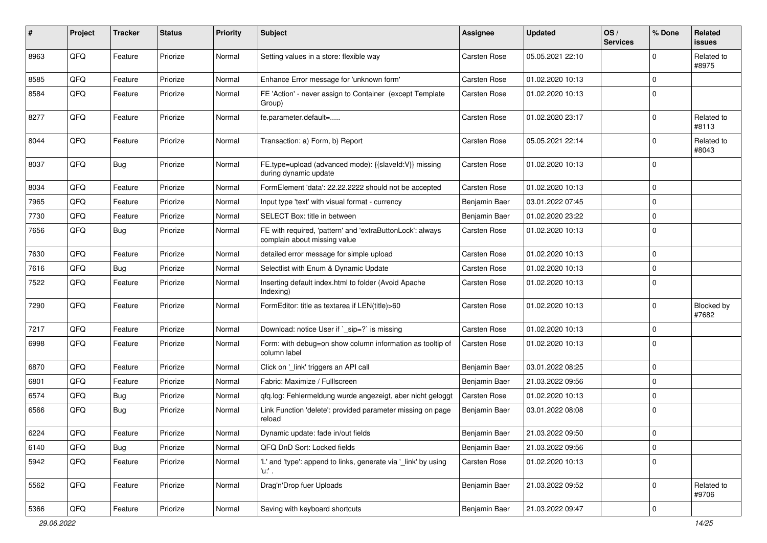| $\#$ | Project | <b>Tracker</b> | <b>Status</b> | <b>Priority</b> | <b>Subject</b>                                                                            | <b>Assignee</b> | <b>Updated</b>   | OS/<br><b>Services</b> | % Done      | Related<br><b>issues</b> |
|------|---------|----------------|---------------|-----------------|-------------------------------------------------------------------------------------------|-----------------|------------------|------------------------|-------------|--------------------------|
| 8963 | QFQ     | Feature        | Priorize      | Normal          | Setting values in a store: flexible way                                                   | Carsten Rose    | 05.05.2021 22:10 |                        | $\Omega$    | Related to<br>#8975      |
| 8585 | QFQ     | Feature        | Priorize      | Normal          | Enhance Error message for 'unknown form'                                                  | Carsten Rose    | 01.02.2020 10:13 |                        | $\mathbf 0$ |                          |
| 8584 | QFQ     | Feature        | Priorize      | Normal          | FE 'Action' - never assign to Container (except Template<br>Group)                        | Carsten Rose    | 01.02.2020 10:13 |                        | $\mathbf 0$ |                          |
| 8277 | QFQ     | Feature        | Priorize      | Normal          | fe.parameter.default=                                                                     | Carsten Rose    | 01.02.2020 23:17 |                        | $\mathbf 0$ | Related to<br>#8113      |
| 8044 | QFQ     | Feature        | Priorize      | Normal          | Transaction: a) Form, b) Report                                                           | Carsten Rose    | 05.05.2021 22:14 |                        | $\mathbf 0$ | Related to<br>#8043      |
| 8037 | QFQ     | Bug            | Priorize      | Normal          | FE.type=upload (advanced mode): {{slaveld:V}} missing<br>during dynamic update            | Carsten Rose    | 01.02.2020 10:13 |                        | $\mathbf 0$ |                          |
| 8034 | QFQ     | Feature        | Priorize      | Normal          | FormElement 'data': 22.22.2222 should not be accepted                                     | Carsten Rose    | 01.02.2020 10:13 |                        | $\mathbf 0$ |                          |
| 7965 | QFQ     | Feature        | Priorize      | Normal          | Input type 'text' with visual format - currency                                           | Benjamin Baer   | 03.01.2022 07:45 |                        | $\mathbf 0$ |                          |
| 7730 | QFQ     | Feature        | Priorize      | Normal          | SELECT Box: title in between                                                              | Benjamin Baer   | 01.02.2020 23:22 |                        | $\Omega$    |                          |
| 7656 | QFQ     | Bug            | Priorize      | Normal          | FE with required, 'pattern' and 'extraButtonLock': always<br>complain about missing value | Carsten Rose    | 01.02.2020 10:13 |                        | $\mathbf 0$ |                          |
| 7630 | QFQ     | Feature        | Priorize      | Normal          | detailed error message for simple upload                                                  | Carsten Rose    | 01.02.2020 10:13 |                        | $\mathbf 0$ |                          |
| 7616 | QFQ     | <b>Bug</b>     | Priorize      | Normal          | Selectlist with Enum & Dynamic Update                                                     | Carsten Rose    | 01.02.2020 10:13 |                        | $\mathbf 0$ |                          |
| 7522 | QFQ     | Feature        | Priorize      | Normal          | Inserting default index.html to folder (Avoid Apache<br>Indexing)                         | Carsten Rose    | 01.02.2020 10:13 |                        | $\mathbf 0$ |                          |
| 7290 | QFQ     | Feature        | Priorize      | Normal          | FormEditor: title as textarea if LEN(title)>60                                            | Carsten Rose    | 01.02.2020 10:13 |                        | $\mathbf 0$ | Blocked by<br>#7682      |
| 7217 | QFQ     | Feature        | Priorize      | Normal          | Download: notice User if `_sip=?` is missing                                              | Carsten Rose    | 01.02.2020 10:13 |                        | $\mathbf 0$ |                          |
| 6998 | QFQ     | Feature        | Priorize      | Normal          | Form: with debug=on show column information as tooltip of<br>column label                 | Carsten Rose    | 01.02.2020 10:13 |                        | $\mathbf 0$ |                          |
| 6870 | QFQ     | Feature        | Priorize      | Normal          | Click on '_link' triggers an API call                                                     | Benjamin Baer   | 03.01.2022 08:25 |                        | $\mathbf 0$ |                          |
| 6801 | QFQ     | Feature        | Priorize      | Normal          | Fabric: Maximize / FullIscreen                                                            | Benjamin Baer   | 21.03.2022 09:56 |                        | $\mathbf 0$ |                          |
| 6574 | QFQ     | Bug            | Priorize      | Normal          | qfq.log: Fehlermeldung wurde angezeigt, aber nicht geloggt                                | Carsten Rose    | 01.02.2020 10:13 |                        | $\mathbf 0$ |                          |
| 6566 | QFQ     | Bug            | Priorize      | Normal          | Link Function 'delete': provided parameter missing on page<br>reload                      | Benjamin Baer   | 03.01.2022 08:08 |                        | $\mathbf 0$ |                          |
| 6224 | QFQ     | Feature        | Priorize      | Normal          | Dynamic update: fade in/out fields                                                        | Benjamin Baer   | 21.03.2022 09:50 |                        | $\Omega$    |                          |
| 6140 | QFQ     | <b>Bug</b>     | Priorize      | Normal          | QFQ DnD Sort: Locked fields                                                               | Benjamin Baer   | 21.03.2022 09:56 |                        | $\mathbf 0$ |                          |
| 5942 | QFQ     | Feature        | Priorize      | Normal          | 'L' and 'type': append to links, generate via '_link' by using<br>'u.' .                  | Carsten Rose    | 01.02.2020 10:13 |                        | $\mathbf 0$ |                          |
| 5562 | QFQ     | Feature        | Priorize      | Normal          | Drag'n'Drop fuer Uploads                                                                  | Benjamin Baer   | 21.03.2022 09:52 |                        | $\mathbf 0$ | Related to<br>#9706      |
| 5366 | QFQ     | Feature        | Priorize      | Normal          | Saving with keyboard shortcuts                                                            | Benjamin Baer   | 21.03.2022 09:47 |                        | $\pmb{0}$   |                          |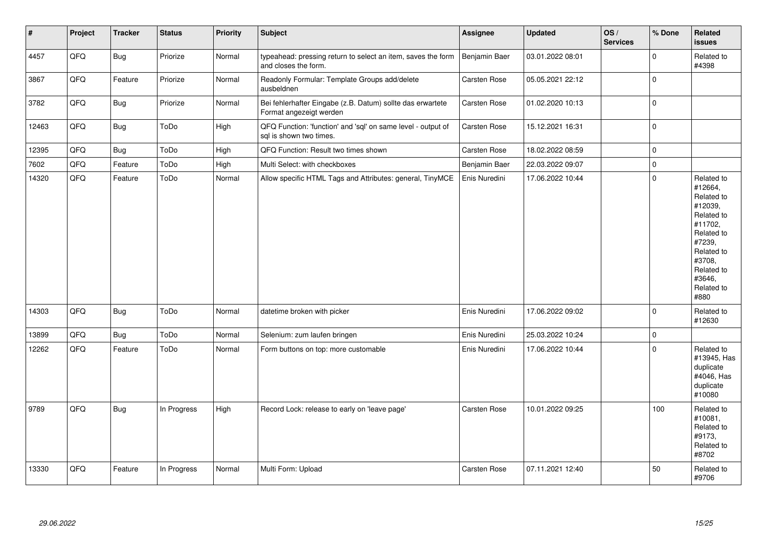| $\vert$ # | Project | <b>Tracker</b> | <b>Status</b> | <b>Priority</b> | <b>Subject</b>                                                                          | <b>Assignee</b> | <b>Updated</b>   | OS/<br><b>Services</b> | % Done      | Related<br>issues                                                                                                                                                     |
|-----------|---------|----------------|---------------|-----------------|-----------------------------------------------------------------------------------------|-----------------|------------------|------------------------|-------------|-----------------------------------------------------------------------------------------------------------------------------------------------------------------------|
| 4457      | QFO     | <b>Bug</b>     | Priorize      | Normal          | typeahead: pressing return to select an item, saves the form<br>and closes the form.    | Benjamin Baer   | 03.01.2022 08:01 |                        | 0           | Related to<br>#4398                                                                                                                                                   |
| 3867      | QFQ     | Feature        | Priorize      | Normal          | Readonly Formular: Template Groups add/delete<br>ausbeldnen                             | Carsten Rose    | 05.05.2021 22:12 |                        | $\mathbf 0$ |                                                                                                                                                                       |
| 3782      | QFO     | Bug            | Priorize      | Normal          | Bei fehlerhafter Eingabe (z.B. Datum) sollte das erwartete<br>Format angezeigt werden   | Carsten Rose    | 01.02.2020 10:13 |                        | $\mathbf 0$ |                                                                                                                                                                       |
| 12463     | QFQ     | Bug            | ToDo          | High            | QFQ Function: 'function' and 'sql' on same level - output of<br>sql is shown two times. | Carsten Rose    | 15.12.2021 16:31 |                        | $\pmb{0}$   |                                                                                                                                                                       |
| 12395     | QFQ     | <b>Bug</b>     | ToDo          | High            | QFQ Function: Result two times shown                                                    | Carsten Rose    | 18.02.2022 08:59 |                        | $\mathbf 0$ |                                                                                                                                                                       |
| 7602      | QFQ     | Feature        | ToDo          | High            | Multi Select: with checkboxes                                                           | Benjamin Baer   | 22.03.2022 09:07 |                        | $\mathbf 0$ |                                                                                                                                                                       |
| 14320     | QFG     | Feature        | ToDo          | Normal          | Allow specific HTML Tags and Attributes: general, TinyMCE                               | Enis Nuredini   | 17.06.2022 10:44 |                        | $\pmb{0}$   | Related to<br>#12664,<br>Related to<br>#12039,<br>Related to<br>#11702,<br>Related to<br>#7239,<br>Related to<br>#3708,<br>Related to<br>#3646,<br>Related to<br>#880 |
| 14303     | QFQ     | Bug            | ToDo          | Normal          | datetime broken with picker                                                             | Enis Nuredini   | 17.06.2022 09:02 |                        | $\pmb{0}$   | Related to<br>#12630                                                                                                                                                  |
| 13899     | QFO     | <b>Bug</b>     | ToDo          | Normal          | Selenium: zum laufen bringen                                                            | Enis Nuredini   | 25.03.2022 10:24 |                        | $\pmb{0}$   |                                                                                                                                                                       |
| 12262     | QFQ     | Feature        | ToDo          | Normal          | Form buttons on top: more customable                                                    | Enis Nuredini   | 17.06.2022 10:44 |                        | $\Omega$    | Related to<br>#13945, Has<br>duplicate<br>#4046, Has<br>duplicate<br>#10080                                                                                           |
| 9789      | QFQ     | Bug            | In Progress   | High            | Record Lock: release to early on 'leave page'                                           | Carsten Rose    | 10.01.2022 09:25 |                        | 100         | Related to<br>#10081,<br>Related to<br>#9173,<br>Related to<br>#8702                                                                                                  |
| 13330     | QFQ     | Feature        | In Progress   | Normal          | Multi Form: Upload                                                                      | Carsten Rose    | 07.11.2021 12:40 |                        | 50          | Related to<br>#9706                                                                                                                                                   |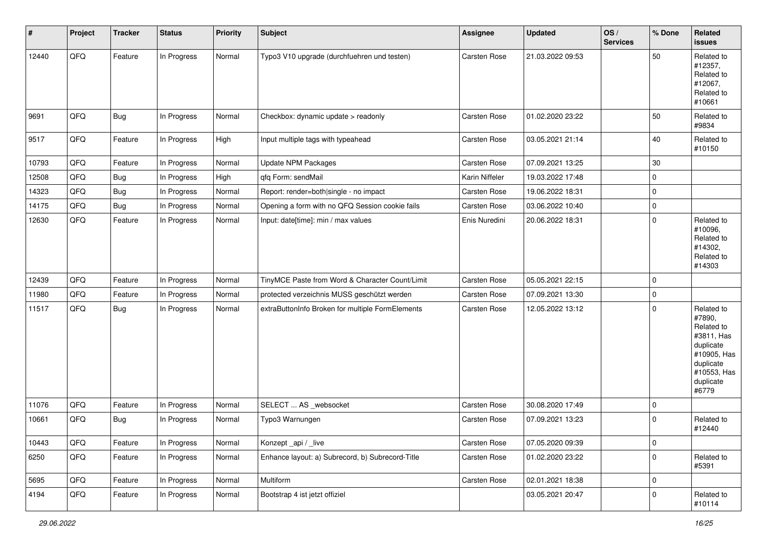| $\vert$ # | Project | <b>Tracker</b> | <b>Status</b> | <b>Priority</b> | <b>Subject</b>                                   | <b>Assignee</b> | <b>Updated</b>   | OS/<br><b>Services</b> | % Done      | Related<br>issues                                                                                                              |
|-----------|---------|----------------|---------------|-----------------|--------------------------------------------------|-----------------|------------------|------------------------|-------------|--------------------------------------------------------------------------------------------------------------------------------|
| 12440     | QFQ     | Feature        | In Progress   | Normal          | Typo3 V10 upgrade (durchfuehren und testen)      | Carsten Rose    | 21.03.2022 09:53 |                        | 50          | Related to<br>#12357,<br>Related to<br>#12067,<br>Related to<br>#10661                                                         |
| 9691      | QFQ     | <b>Bug</b>     | In Progress   | Normal          | Checkbox: dynamic update > readonly              | Carsten Rose    | 01.02.2020 23:22 |                        | 50          | Related to<br>#9834                                                                                                            |
| 9517      | QFQ     | Feature        | In Progress   | High            | Input multiple tags with typeahead               | Carsten Rose    | 03.05.2021 21:14 |                        | 40          | Related to<br>#10150                                                                                                           |
| 10793     | QFQ     | Feature        | In Progress   | Normal          | Update NPM Packages                              | Carsten Rose    | 07.09.2021 13:25 |                        | 30          |                                                                                                                                |
| 12508     | QFQ     | <b>Bug</b>     | In Progress   | High            | qfq Form: sendMail                               | Karin Niffeler  | 19.03.2022 17:48 |                        | 0           |                                                                                                                                |
| 14323     | QFQ     | <b>Bug</b>     | In Progress   | Normal          | Report: render=both single - no impact           | Carsten Rose    | 19.06.2022 18:31 |                        | 0           |                                                                                                                                |
| 14175     | QFQ     | Bug            | In Progress   | Normal          | Opening a form with no QFQ Session cookie fails  | Carsten Rose    | 03.06.2022 10:40 |                        | 0           |                                                                                                                                |
| 12630     | QFQ     | Feature        | In Progress   | Normal          | Input: date[time]: min / max values              | Enis Nuredini   | 20.06.2022 18:31 |                        | 0           | Related to<br>#10096,<br>Related to<br>#14302,<br>Related to<br>#14303                                                         |
| 12439     | QFQ     | Feature        | In Progress   | Normal          | TinyMCE Paste from Word & Character Count/Limit  | Carsten Rose    | 05.05.2021 22:15 |                        | 0           |                                                                                                                                |
| 11980     | QFQ     | Feature        | In Progress   | Normal          | protected verzeichnis MUSS geschützt werden      | Carsten Rose    | 07.09.2021 13:30 |                        | 0           |                                                                                                                                |
| 11517     | QFQ     | <b>Bug</b>     | In Progress   | Normal          | extraButtonInfo Broken for multiple FormElements | Carsten Rose    | 12.05.2022 13:12 |                        | $\Omega$    | Related to<br>#7890,<br>Related to<br>#3811, Has<br>duplicate<br>#10905, Has<br>duplicate<br>#10553, Has<br>duplicate<br>#6779 |
| 11076     | QFQ     | Feature        | In Progress   | Normal          | SELECT  AS _websocket                            | Carsten Rose    | 30.08.2020 17:49 |                        | 0           |                                                                                                                                |
| 10661     | QFQ     | <b>Bug</b>     | In Progress   | Normal          | Typo3 Warnungen                                  | Carsten Rose    | 07.09.2021 13:23 |                        | $\mathbf 0$ | Related to<br>#12440                                                                                                           |
| 10443     | QFO     | Feature        | In Progress   | Normal          | Konzept_api / _live                              | Carsten Rose    | 07.05.2020 09:39 |                        | $\pmb{0}$   |                                                                                                                                |
| 6250      | QFQ     | Feature        | In Progress   | Normal          | Enhance layout: a) Subrecord, b) Subrecord-Title | Carsten Rose    | 01.02.2020 23:22 |                        | 0           | Related to<br>#5391                                                                                                            |
| 5695      | QFQ     | Feature        | In Progress   | Normal          | Multiform                                        | Carsten Rose    | 02.01.2021 18:38 |                        | 0           |                                                                                                                                |
| 4194      | QFG     | Feature        | In Progress   | Normal          | Bootstrap 4 ist jetzt offiziel                   |                 | 03.05.2021 20:47 |                        | $\pmb{0}$   | Related to<br>#10114                                                                                                           |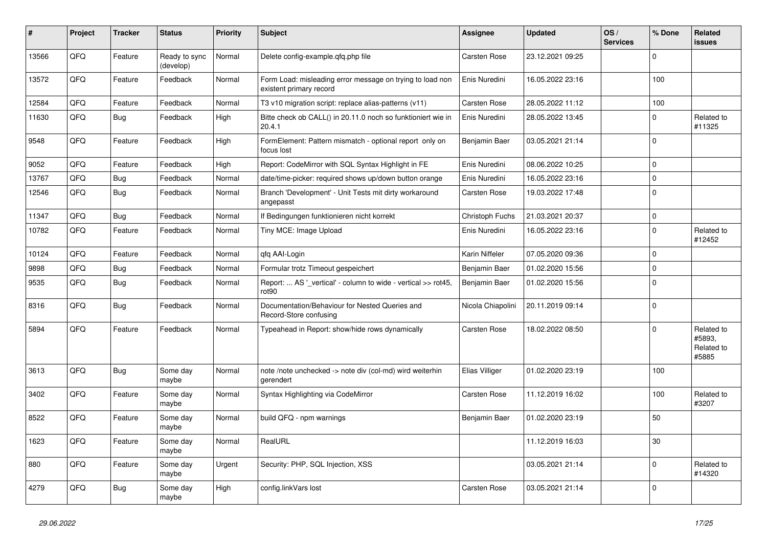| ∦     | Project | <b>Tracker</b> | <b>Status</b>              | <b>Priority</b> | <b>Subject</b>                                                                       | <b>Assignee</b>   | <b>Updated</b>   | OS/<br><b>Services</b> | % Done      | Related<br>issues                           |
|-------|---------|----------------|----------------------------|-----------------|--------------------------------------------------------------------------------------|-------------------|------------------|------------------------|-------------|---------------------------------------------|
| 13566 | QFQ     | Feature        | Ready to sync<br>(develop) | Normal          | Delete config-example.qfq.php file                                                   | Carsten Rose      | 23.12.2021 09:25 |                        | $\Omega$    |                                             |
| 13572 | QFQ     | Feature        | Feedback                   | Normal          | Form Load: misleading error message on trying to load non<br>existent primary record | Enis Nuredini     | 16.05.2022 23:16 |                        | 100         |                                             |
| 12584 | QFQ     | Feature        | Feedback                   | Normal          | T3 v10 migration script: replace alias-patterns (v11)                                | Carsten Rose      | 28.05.2022 11:12 |                        | 100         |                                             |
| 11630 | QFQ     | <b>Bug</b>     | Feedback                   | High            | Bitte check ob CALL() in 20.11.0 noch so funktioniert wie in<br>20.4.1               | Enis Nuredini     | 28.05.2022 13:45 |                        | $\Omega$    | Related to<br>#11325                        |
| 9548  | QFQ     | Feature        | Feedback                   | High            | FormElement: Pattern mismatch - optional report only on<br>focus lost                | Benjamin Baer     | 03.05.2021 21:14 |                        | $\Omega$    |                                             |
| 9052  | QFQ     | Feature        | Feedback                   | High            | Report: CodeMirror with SQL Syntax Highlight in FE                                   | Enis Nuredini     | 08.06.2022 10:25 |                        | $\mathbf 0$ |                                             |
| 13767 | QFQ     | Bug            | Feedback                   | Normal          | date/time-picker: required shows up/down button orange                               | Enis Nuredini     | 16.05.2022 23:16 |                        | $\mathbf 0$ |                                             |
| 12546 | QFQ     | Bug            | Feedback                   | Normal          | Branch 'Development' - Unit Tests mit dirty workaround<br>angepasst                  | Carsten Rose      | 19.03.2022 17:48 |                        | $\mathbf 0$ |                                             |
| 11347 | QFQ     | <b>Bug</b>     | Feedback                   | Normal          | If Bedingungen funktionieren nicht korrekt                                           | Christoph Fuchs   | 21.03.2021 20:37 |                        | $\mathbf 0$ |                                             |
| 10782 | QFQ     | Feature        | Feedback                   | Normal          | Tiny MCE: Image Upload                                                               | Enis Nuredini     | 16.05.2022 23:16 |                        | $\mathbf 0$ | Related to<br>#12452                        |
| 10124 | QFQ     | Feature        | Feedback                   | Normal          | qfq AAI-Login                                                                        | Karin Niffeler    | 07.05.2020 09:36 |                        | $\mathbf 0$ |                                             |
| 9898  | QFQ     | <b>Bug</b>     | Feedback                   | Normal          | Formular trotz Timeout gespeichert                                                   | Benjamin Baer     | 01.02.2020 15:56 |                        | $\Omega$    |                                             |
| 9535  | QFQ     | <b>Bug</b>     | Feedback                   | Normal          | Report:  AS ' vertical' - column to wide - vertical >> rot45,<br>rot <sub>90</sub>   | Benjamin Baer     | 01.02.2020 15:56 |                        | $\Omega$    |                                             |
| 8316  | QFQ     | <b>Bug</b>     | Feedback                   | Normal          | Documentation/Behaviour for Nested Queries and<br>Record-Store confusing             | Nicola Chiapolini | 20.11.2019 09:14 |                        | $\Omega$    |                                             |
| 5894  | QFQ     | Feature        | Feedback                   | Normal          | Typeahead in Report: show/hide rows dynamically                                      | Carsten Rose      | 18.02.2022 08:50 |                        | $\Omega$    | Related to<br>#5893.<br>Related to<br>#5885 |
| 3613  | QFQ     | <b>Bug</b>     | Some day<br>maybe          | Normal          | note /note unchecked -> note div (col-md) wird weiterhin<br>gerendert                | Elias Villiger    | 01.02.2020 23:19 |                        | 100         |                                             |
| 3402  | QFQ     | Feature        | Some day<br>maybe          | Normal          | Syntax Highlighting via CodeMirror                                                   | Carsten Rose      | 11.12.2019 16:02 |                        | 100         | Related to<br>#3207                         |
| 8522  | QFQ     | Feature        | Some day<br>maybe          | Normal          | build QFQ - npm warnings                                                             | Benjamin Baer     | 01.02.2020 23:19 |                        | 50          |                                             |
| 1623  | QFQ     | Feature        | Some day<br>maybe          | Normal          | RealURL                                                                              |                   | 11.12.2019 16:03 |                        | 30          |                                             |
| 880   | QFQ     | Feature        | Some day<br>maybe          | Urgent          | Security: PHP, SQL Injection, XSS                                                    |                   | 03.05.2021 21:14 |                        | $\mathbf 0$ | Related to<br>#14320                        |
| 4279  | QFQ     | <b>Bug</b>     | Some day<br>maybe          | High            | config.linkVars lost                                                                 | Carsten Rose      | 03.05.2021 21:14 |                        | $\mathbf 0$ |                                             |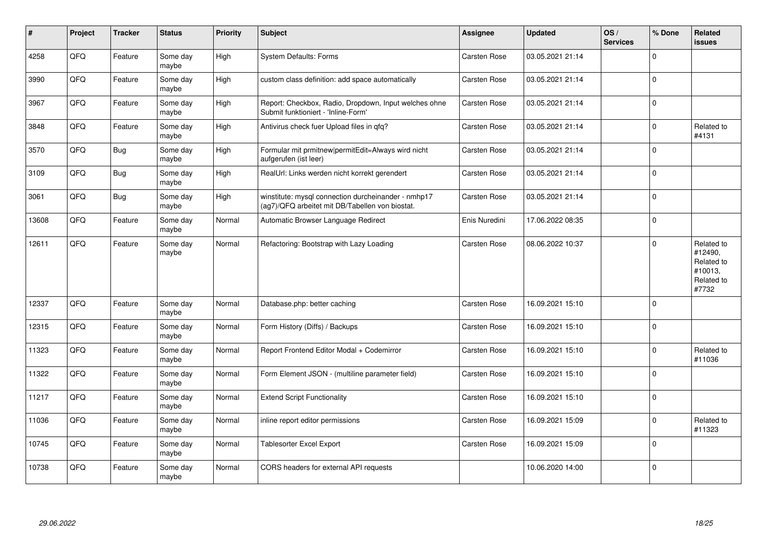| #     | <b>Project</b> | <b>Tracker</b> | <b>Status</b>     | <b>Priority</b> | <b>Subject</b>                                                                                         | <b>Assignee</b> | <b>Updated</b>   | OS/<br><b>Services</b> | % Done      | Related<br><b>issues</b>                                              |
|-------|----------------|----------------|-------------------|-----------------|--------------------------------------------------------------------------------------------------------|-----------------|------------------|------------------------|-------------|-----------------------------------------------------------------------|
| 4258  | QFQ            | Feature        | Some day<br>maybe | High            | <b>System Defaults: Forms</b>                                                                          | Carsten Rose    | 03.05.2021 21:14 |                        | $\Omega$    |                                                                       |
| 3990  | QFQ            | Feature        | Some day<br>maybe | High            | custom class definition: add space automatically                                                       | Carsten Rose    | 03.05.2021 21:14 |                        | $\Omega$    |                                                                       |
| 3967  | QFQ            | Feature        | Some day<br>maybe | High            | Report: Checkbox, Radio, Dropdown, Input welches ohne<br>Submit funktioniert - 'Inline-Form'           | Carsten Rose    | 03.05.2021 21:14 |                        | $\Omega$    |                                                                       |
| 3848  | QFG            | Feature        | Some day<br>maybe | High            | Antivirus check fuer Upload files in qfq?                                                              | Carsten Rose    | 03.05.2021 21:14 |                        | $\mathbf 0$ | Related to<br>#4131                                                   |
| 3570  | QFQ            | Bug            | Some day<br>maybe | High            | Formular mit prmitnew permitEdit=Always wird nicht<br>aufgerufen (ist leer)                            | Carsten Rose    | 03.05.2021 21:14 |                        | $\Omega$    |                                                                       |
| 3109  | QFQ            | <b>Bug</b>     | Some day<br>maybe | High            | RealUrl: Links werden nicht korrekt gerendert                                                          | Carsten Rose    | 03.05.2021 21:14 |                        | $\Omega$    |                                                                       |
| 3061  | QFQ            | <b>Bug</b>     | Some day<br>maybe | High            | winstitute: mysql connection durcheinander - nmhp17<br>(ag7)/QFQ arbeitet mit DB/Tabellen von biostat. | Carsten Rose    | 03.05.2021 21:14 |                        | $\Omega$    |                                                                       |
| 13608 | QFQ            | Feature        | Some dav<br>maybe | Normal          | Automatic Browser Language Redirect                                                                    | Enis Nuredini   | 17.06.2022 08:35 |                        | $\Omega$    |                                                                       |
| 12611 | QFQ            | Feature        | Some day<br>maybe | Normal          | Refactoring: Bootstrap with Lazy Loading                                                               | Carsten Rose    | 08.06.2022 10:37 |                        | $\Omega$    | Related to<br>#12490,<br>Related to<br>#10013,<br>Related to<br>#7732 |
| 12337 | QFQ            | Feature        | Some day<br>maybe | Normal          | Database.php: better caching                                                                           | Carsten Rose    | 16.09.2021 15:10 |                        | $\Omega$    |                                                                       |
| 12315 | QFQ            | Feature        | Some day<br>maybe | Normal          | Form History (Diffs) / Backups                                                                         | Carsten Rose    | 16.09.2021 15:10 |                        | $\Omega$    |                                                                       |
| 11323 | QFQ            | Feature        | Some day<br>maybe | Normal          | Report Frontend Editor Modal + Codemirror                                                              | Carsten Rose    | 16.09.2021 15:10 |                        | $\Omega$    | Related to<br>#11036                                                  |
| 11322 | QFQ            | Feature        | Some day<br>maybe | Normal          | Form Element JSON - (multiline parameter field)                                                        | Carsten Rose    | 16.09.2021 15:10 |                        | $\Omega$    |                                                                       |
| 11217 | QFQ            | Feature        | Some day<br>maybe | Normal          | <b>Extend Script Functionality</b>                                                                     | Carsten Rose    | 16.09.2021 15:10 |                        | $\Omega$    |                                                                       |
| 11036 | QFQ            | Feature        | Some day<br>maybe | Normal          | inline report editor permissions                                                                       | Carsten Rose    | 16.09.2021 15:09 |                        | $\Omega$    | Related to<br>#11323                                                  |
| 10745 | QFG            | Feature        | Some day<br>maybe | Normal          | Tablesorter Excel Export                                                                               | Carsten Rose    | 16.09.2021 15:09 |                        | $\Omega$    |                                                                       |
| 10738 | QFQ            | Feature        | Some day<br>maybe | Normal          | CORS headers for external API requests                                                                 |                 | 10.06.2020 14:00 |                        | $\mathbf 0$ |                                                                       |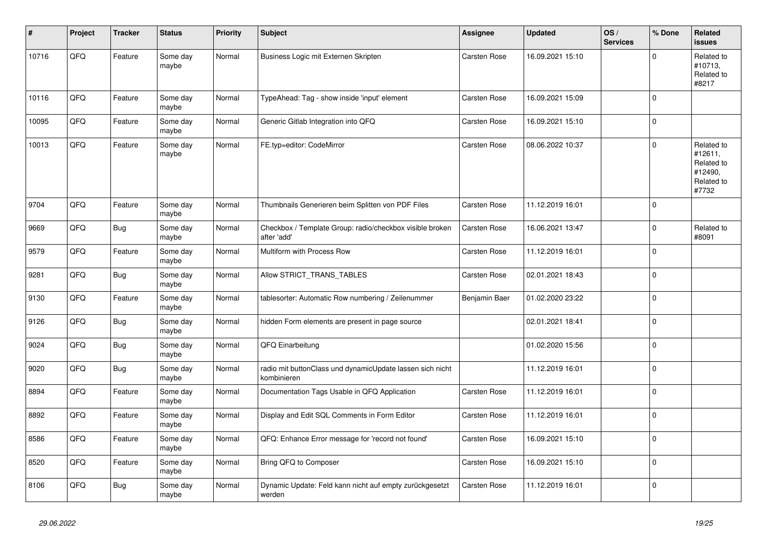| #     | Project | <b>Tracker</b> | <b>Status</b>     | <b>Priority</b> | <b>Subject</b>                                                           | <b>Assignee</b> | <b>Updated</b>   | OS/<br><b>Services</b> | % Done      | Related<br>issues                                                     |
|-------|---------|----------------|-------------------|-----------------|--------------------------------------------------------------------------|-----------------|------------------|------------------------|-------------|-----------------------------------------------------------------------|
| 10716 | QFQ     | Feature        | Some day<br>maybe | Normal          | Business Logic mit Externen Skripten                                     | Carsten Rose    | 16.09.2021 15:10 |                        | $\Omega$    | Related to<br>#10713,<br>Related to<br>#8217                          |
| 10116 | QFQ     | Feature        | Some day<br>maybe | Normal          | TypeAhead: Tag - show inside 'input' element                             | Carsten Rose    | 16.09.2021 15:09 |                        | $\mathbf 0$ |                                                                       |
| 10095 | QFQ     | Feature        | Some day<br>maybe | Normal          | Generic Gitlab Integration into QFQ                                      | Carsten Rose    | 16.09.2021 15:10 |                        | 0           |                                                                       |
| 10013 | QFQ     | Feature        | Some day<br>maybe | Normal          | FE.typ=editor: CodeMirror                                                | Carsten Rose    | 08.06.2022 10:37 |                        | $\Omega$    | Related to<br>#12611,<br>Related to<br>#12490,<br>Related to<br>#7732 |
| 9704  | QFQ     | Feature        | Some day<br>maybe | Normal          | Thumbnails Generieren beim Splitten von PDF Files                        | Carsten Rose    | 11.12.2019 16:01 |                        | 0           |                                                                       |
| 9669  | QFQ     | <b>Bug</b>     | Some day<br>maybe | Normal          | Checkbox / Template Group: radio/checkbox visible broken<br>after 'add'  | Carsten Rose    | 16.06.2021 13:47 |                        | 0           | Related to<br>#8091                                                   |
| 9579  | QFQ     | Feature        | Some day<br>maybe | Normal          | Multiform with Process Row                                               | Carsten Rose    | 11.12.2019 16:01 |                        | 0           |                                                                       |
| 9281  | QFQ     | <b>Bug</b>     | Some day<br>maybe | Normal          | Allow STRICT_TRANS_TABLES                                                | Carsten Rose    | 02.01.2021 18:43 |                        | 0           |                                                                       |
| 9130  | QFQ     | Feature        | Some day<br>maybe | Normal          | tablesorter: Automatic Row numbering / Zeilenummer                       | Benjamin Baer   | 01.02.2020 23:22 |                        | $\Omega$    |                                                                       |
| 9126  | QFQ     | <b>Bug</b>     | Some day<br>maybe | Normal          | hidden Form elements are present in page source                          |                 | 02.01.2021 18:41 |                        | 0           |                                                                       |
| 9024  | QFQ     | <b>Bug</b>     | Some day<br>maybe | Normal          | QFQ Einarbeitung                                                         |                 | 01.02.2020 15:56 |                        | 0           |                                                                       |
| 9020  | QFQ     | <b>Bug</b>     | Some day<br>maybe | Normal          | radio mit buttonClass und dynamicUpdate lassen sich nicht<br>kombinieren |                 | 11.12.2019 16:01 |                        | $\mathbf 0$ |                                                                       |
| 8894  | QFQ     | Feature        | Some day<br>maybe | Normal          | Documentation Tags Usable in QFQ Application                             | Carsten Rose    | 11.12.2019 16:01 |                        | 0           |                                                                       |
| 8892  | QFQ     | Feature        | Some day<br>maybe | Normal          | Display and Edit SQL Comments in Form Editor                             | Carsten Rose    | 11.12.2019 16:01 |                        | $\Omega$    |                                                                       |
| 8586  | QFQ     | Feature        | Some day<br>maybe | Normal          | QFQ: Enhance Error message for 'record not found'                        | Carsten Rose    | 16.09.2021 15:10 |                        | 0           |                                                                       |
| 8520  | QFQ     | Feature        | Some day<br>maybe | Normal          | Bring QFQ to Composer                                                    | Carsten Rose    | 16.09.2021 15:10 |                        | 0           |                                                                       |
| 8106  | QFQ     | <b>Bug</b>     | Some day<br>maybe | Normal          | Dynamic Update: Feld kann nicht auf empty zurückgesetzt<br>werden        | Carsten Rose    | 11.12.2019 16:01 |                        | 0           |                                                                       |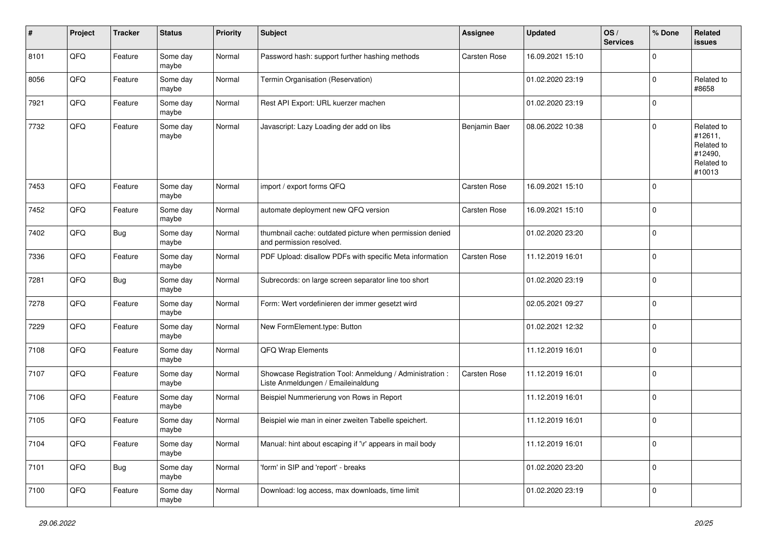| #    | Project | <b>Tracker</b> | <b>Status</b>     | <b>Priority</b> | <b>Subject</b>                                                                                 | <b>Assignee</b> | <b>Updated</b>   | OS/<br><b>Services</b> | % Done      | Related<br>issues                                                      |
|------|---------|----------------|-------------------|-----------------|------------------------------------------------------------------------------------------------|-----------------|------------------|------------------------|-------------|------------------------------------------------------------------------|
| 8101 | QFQ     | Feature        | Some day<br>maybe | Normal          | Password hash: support further hashing methods                                                 | Carsten Rose    | 16.09.2021 15:10 |                        | $\Omega$    |                                                                        |
| 8056 | QFQ     | Feature        | Some day<br>maybe | Normal          | Termin Organisation (Reservation)                                                              |                 | 01.02.2020 23:19 |                        | $\mathbf 0$ | Related to<br>#8658                                                    |
| 7921 | QFQ     | Feature        | Some day<br>maybe | Normal          | Rest API Export: URL kuerzer machen                                                            |                 | 01.02.2020 23:19 |                        | $\mathbf 0$ |                                                                        |
| 7732 | QFQ     | Feature        | Some day<br>maybe | Normal          | Javascript: Lazy Loading der add on libs                                                       | Benjamin Baer   | 08.06.2022 10:38 |                        | $\mathbf 0$ | Related to<br>#12611,<br>Related to<br>#12490,<br>Related to<br>#10013 |
| 7453 | QFQ     | Feature        | Some day<br>maybe | Normal          | import / export forms QFQ                                                                      | Carsten Rose    | 16.09.2021 15:10 |                        | $\mathbf 0$ |                                                                        |
| 7452 | QFQ     | Feature        | Some day<br>maybe | Normal          | automate deployment new QFQ version                                                            | Carsten Rose    | 16.09.2021 15:10 |                        | $\pmb{0}$   |                                                                        |
| 7402 | QFQ     | <b>Bug</b>     | Some day<br>maybe | Normal          | thumbnail cache: outdated picture when permission denied<br>and permission resolved.           |                 | 01.02.2020 23:20 |                        | $\mathbf 0$ |                                                                        |
| 7336 | QFQ     | Feature        | Some day<br>maybe | Normal          | PDF Upload: disallow PDFs with specific Meta information                                       | Carsten Rose    | 11.12.2019 16:01 |                        | $\mathbf 0$ |                                                                        |
| 7281 | QFQ     | <b>Bug</b>     | Some day<br>maybe | Normal          | Subrecords: on large screen separator line too short                                           |                 | 01.02.2020 23:19 |                        | $\mathbf 0$ |                                                                        |
| 7278 | QFQ     | Feature        | Some day<br>maybe | Normal          | Form: Wert vordefinieren der immer gesetzt wird                                                |                 | 02.05.2021 09:27 |                        | $\Omega$    |                                                                        |
| 7229 | QFQ     | Feature        | Some day<br>maybe | Normal          | New FormElement.type: Button                                                                   |                 | 01.02.2021 12:32 |                        | $\mathbf 0$ |                                                                        |
| 7108 | QFQ     | Feature        | Some day<br>maybe | Normal          | QFQ Wrap Elements                                                                              |                 | 11.12.2019 16:01 |                        | 0           |                                                                        |
| 7107 | QFQ     | Feature        | Some day<br>maybe | Normal          | Showcase Registration Tool: Anmeldung / Administration :<br>Liste Anmeldungen / Emaileinaldung | Carsten Rose    | 11.12.2019 16:01 |                        | 0           |                                                                        |
| 7106 | QFQ     | Feature        | Some day<br>maybe | Normal          | Beispiel Nummerierung von Rows in Report                                                       |                 | 11.12.2019 16:01 |                        | $\mathbf 0$ |                                                                        |
| 7105 | QFQ     | Feature        | Some day<br>maybe | Normal          | Beispiel wie man in einer zweiten Tabelle speichert.                                           |                 | 11.12.2019 16:01 |                        | $\mathbf 0$ |                                                                        |
| 7104 | QFO     | Feature        | Some day<br>maybe | Normal          | Manual: hint about escaping if '\r' appears in mail body                                       |                 | 11.12.2019 16:01 |                        | $\mathbf 0$ |                                                                        |
| 7101 | QFQ     | <b>Bug</b>     | Some day<br>maybe | Normal          | 'form' in SIP and 'report' - breaks                                                            |                 | 01.02.2020 23:20 |                        | $\mathbf 0$ |                                                                        |
| 7100 | QFO     | Feature        | Some day<br>maybe | Normal          | Download: log access, max downloads, time limit                                                |                 | 01.02.2020 23:19 |                        | $\mathbf 0$ |                                                                        |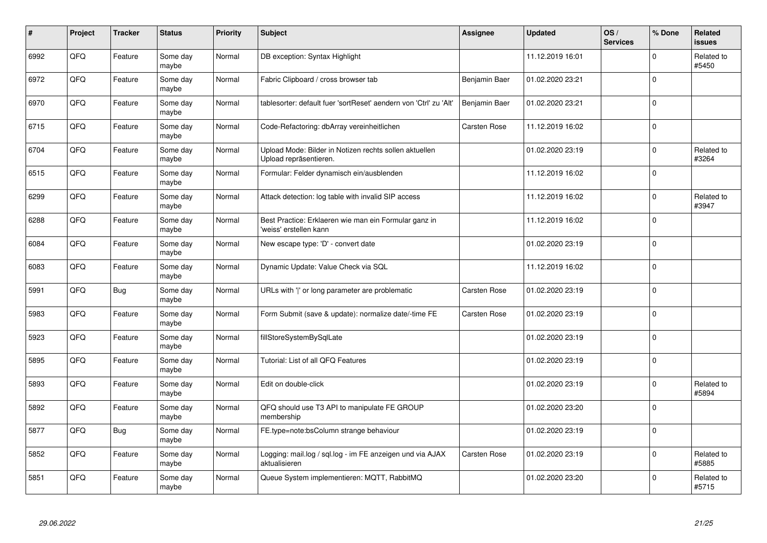| #    | Project | <b>Tracker</b> | <b>Status</b>     | <b>Priority</b> | <b>Subject</b>                                                                   | <b>Assignee</b> | <b>Updated</b>   | OS/<br><b>Services</b> | % Done      | Related<br><b>issues</b> |
|------|---------|----------------|-------------------|-----------------|----------------------------------------------------------------------------------|-----------------|------------------|------------------------|-------------|--------------------------|
| 6992 | QFQ     | Feature        | Some day<br>maybe | Normal          | DB exception: Syntax Highlight                                                   |                 | 11.12.2019 16:01 |                        | $\Omega$    | Related to<br>#5450      |
| 6972 | QFQ     | Feature        | Some day<br>maybe | Normal          | Fabric Clipboard / cross browser tab                                             | Benjamin Baer   | 01.02.2020 23:21 |                        | $\Omega$    |                          |
| 6970 | QFQ     | Feature        | Some day<br>maybe | Normal          | tablesorter: default fuer 'sortReset' aendern von 'Ctrl' zu 'Alt'                | Benjamin Baer   | 01.02.2020 23:21 |                        | $\Omega$    |                          |
| 6715 | QFQ     | Feature        | Some day<br>maybe | Normal          | Code-Refactoring: dbArray vereinheitlichen                                       | Carsten Rose    | 11.12.2019 16:02 |                        | $\Omega$    |                          |
| 6704 | QFQ     | Feature        | Some day<br>maybe | Normal          | Upload Mode: Bilder in Notizen rechts sollen aktuellen<br>Upload repräsentieren. |                 | 01.02.2020 23:19 |                        | $\Omega$    | Related to<br>#3264      |
| 6515 | QFQ     | Feature        | Some dav<br>maybe | Normal          | Formular: Felder dynamisch ein/ausblenden                                        |                 | 11.12.2019 16:02 |                        | $\mathbf 0$ |                          |
| 6299 | QFQ     | Feature        | Some day<br>maybe | Normal          | Attack detection: log table with invalid SIP access                              |                 | 11.12.2019 16:02 |                        | $\Omega$    | Related to<br>#3947      |
| 6288 | QFQ     | Feature        | Some day<br>maybe | Normal          | Best Practice: Erklaeren wie man ein Formular ganz in<br>'weiss' erstellen kann  |                 | 11.12.2019 16:02 |                        | $\Omega$    |                          |
| 6084 | QFQ     | Feature        | Some dav<br>maybe | Normal          | New escape type: 'D' - convert date                                              |                 | 01.02.2020 23:19 |                        | $\Omega$    |                          |
| 6083 | QFQ     | Feature        | Some day<br>maybe | Normal          | Dynamic Update: Value Check via SQL                                              |                 | 11.12.2019 16:02 |                        | $\mathbf 0$ |                          |
| 5991 | QFQ     | <b>Bug</b>     | Some day<br>maybe | Normal          | URLs with ' ' or long parameter are problematic                                  | Carsten Rose    | 01.02.2020 23:19 |                        | $\Omega$    |                          |
| 5983 | QFQ     | Feature        | Some dav<br>maybe | Normal          | Form Submit (save & update): normalize date/-time FE                             | Carsten Rose    | 01.02.2020 23:19 |                        | $\mathbf 0$ |                          |
| 5923 | QFQ     | Feature        | Some day<br>maybe | Normal          | fillStoreSystemBySqlLate                                                         |                 | 01.02.2020 23:19 |                        | $\Omega$    |                          |
| 5895 | QFQ     | Feature        | Some day<br>maybe | Normal          | Tutorial: List of all QFQ Features                                               |                 | 01.02.2020 23:19 |                        | $\pmb{0}$   |                          |
| 5893 | QFQ     | Feature        | Some day<br>maybe | Normal          | Edit on double-click                                                             |                 | 01.02.2020 23:19 |                        | $\Omega$    | Related to<br>#5894      |
| 5892 | QFQ     | Feature        | Some day<br>maybe | Normal          | QFQ should use T3 API to manipulate FE GROUP<br>membership                       |                 | 01.02.2020 23:20 |                        | $\Omega$    |                          |
| 5877 | QFQ     | Bug            | Some day<br>maybe | Normal          | FE.type=note:bsColumn strange behaviour                                          |                 | 01.02.2020 23:19 |                        | $\Omega$    |                          |
| 5852 | QFQ     | Feature        | Some day<br>maybe | Normal          | Logging: mail.log / sql.log - im FE anzeigen und via AJAX<br>aktualisieren       | Carsten Rose    | 01.02.2020 23:19 |                        | $\Omega$    | Related to<br>#5885      |
| 5851 | QFQ     | Feature        | Some day<br>maybe | Normal          | Queue System implementieren: MQTT, RabbitMQ                                      |                 | 01.02.2020 23:20 |                        | $\Omega$    | Related to<br>#5715      |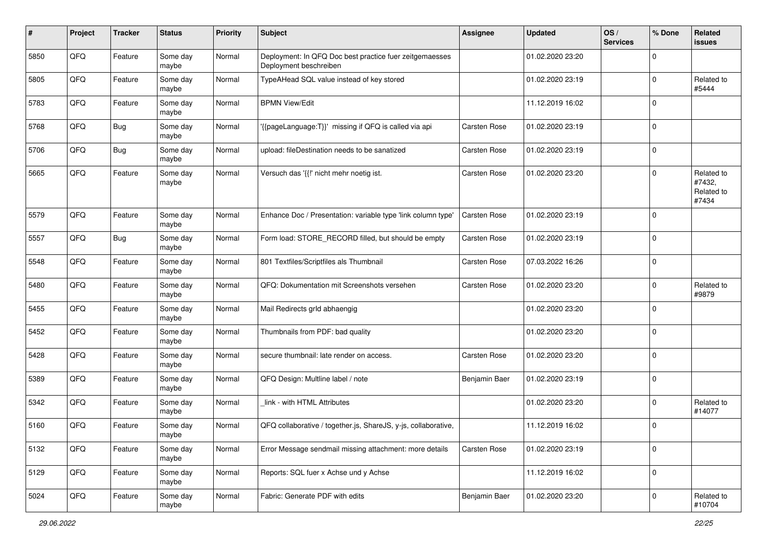| #    | Project | <b>Tracker</b> | <b>Status</b>     | <b>Priority</b> | <b>Subject</b>                                                                    | <b>Assignee</b> | <b>Updated</b>   | OS/<br><b>Services</b> | % Done      | Related<br><b>issues</b>                    |
|------|---------|----------------|-------------------|-----------------|-----------------------------------------------------------------------------------|-----------------|------------------|------------------------|-------------|---------------------------------------------|
| 5850 | QFQ     | Feature        | Some day<br>maybe | Normal          | Deployment: In QFQ Doc best practice fuer zeitgemaesses<br>Deployment beschreiben |                 | 01.02.2020 23:20 |                        | $\mathbf 0$ |                                             |
| 5805 | QFQ     | Feature        | Some day<br>maybe | Normal          | TypeAHead SQL value instead of key stored                                         |                 | 01.02.2020 23:19 |                        | $\mathbf 0$ | Related to<br>#5444                         |
| 5783 | QFQ     | Feature        | Some day<br>maybe | Normal          | <b>BPMN View/Edit</b>                                                             |                 | 11.12.2019 16:02 |                        | $\mathbf 0$ |                                             |
| 5768 | QFQ     | <b>Bug</b>     | Some day<br>maybe | Normal          | '{{pageLanguage:T}}' missing if QFQ is called via api                             | Carsten Rose    | 01.02.2020 23:19 |                        | $\mathbf 0$ |                                             |
| 5706 | QFQ     | <b>Bug</b>     | Some day<br>maybe | Normal          | upload: fileDestination needs to be sanatized                                     | Carsten Rose    | 01.02.2020 23:19 |                        | $\mathbf 0$ |                                             |
| 5665 | QFQ     | Feature        | Some day<br>maybe | Normal          | Versuch das '{{!' nicht mehr noetig ist.                                          | Carsten Rose    | 01.02.2020 23:20 |                        | $\mathbf 0$ | Related to<br>#7432,<br>Related to<br>#7434 |
| 5579 | QFQ     | Feature        | Some day<br>maybe | Normal          | Enhance Doc / Presentation: variable type 'link column type'                      | Carsten Rose    | 01.02.2020 23:19 |                        | $\mathbf 0$ |                                             |
| 5557 | QFQ     | <b>Bug</b>     | Some day<br>maybe | Normal          | Form load: STORE_RECORD filled, but should be empty                               | Carsten Rose    | 01.02.2020 23:19 |                        | $\mathbf 0$ |                                             |
| 5548 | QFQ     | Feature        | Some day<br>maybe | Normal          | 801 Textfiles/Scriptfiles als Thumbnail                                           | Carsten Rose    | 07.03.2022 16:26 |                        | $\mathbf 0$ |                                             |
| 5480 | QFQ     | Feature        | Some day<br>maybe | Normal          | QFQ: Dokumentation mit Screenshots versehen                                       | Carsten Rose    | 01.02.2020 23:20 |                        | $\mathbf 0$ | Related to<br>#9879                         |
| 5455 | QFQ     | Feature        | Some day<br>maybe | Normal          | Mail Redirects grld abhaengig                                                     |                 | 01.02.2020 23:20 |                        | $\mathbf 0$ |                                             |
| 5452 | QFQ     | Feature        | Some day<br>maybe | Normal          | Thumbnails from PDF: bad quality                                                  |                 | 01.02.2020 23:20 |                        | $\mathbf 0$ |                                             |
| 5428 | QFQ     | Feature        | Some day<br>maybe | Normal          | secure thumbnail: late render on access.                                          | Carsten Rose    | 01.02.2020 23:20 |                        | $\mathbf 0$ |                                             |
| 5389 | QFQ     | Feature        | Some day<br>maybe | Normal          | QFQ Design: Multline label / note                                                 | Benjamin Baer   | 01.02.2020 23:19 |                        | $\mathbf 0$ |                                             |
| 5342 | QFQ     | Feature        | Some day<br>maybe | Normal          | link - with HTML Attributes                                                       |                 | 01.02.2020 23:20 |                        | $\mathbf 0$ | Related to<br>#14077                        |
| 5160 | QFQ     | Feature        | Some day<br>maybe | Normal          | QFQ collaborative / together.js, ShareJS, y-js, collaborative,                    |                 | 11.12.2019 16:02 |                        | $\mathbf 0$ |                                             |
| 5132 | QFQ     | Feature        | Some day<br>maybe | Normal          | Error Message sendmail missing attachment: more details                           | Carsten Rose    | 01.02.2020 23:19 |                        | $\mathbf 0$ |                                             |
| 5129 | QFQ     | Feature        | Some day<br>maybe | Normal          | Reports: SQL fuer x Achse und y Achse                                             |                 | 11.12.2019 16:02 |                        | $\pmb{0}$   |                                             |
| 5024 | QFQ     | Feature        | Some day<br>maybe | Normal          | Fabric: Generate PDF with edits                                                   | Benjamin Baer   | 01.02.2020 23:20 |                        | $\pmb{0}$   | Related to<br>#10704                        |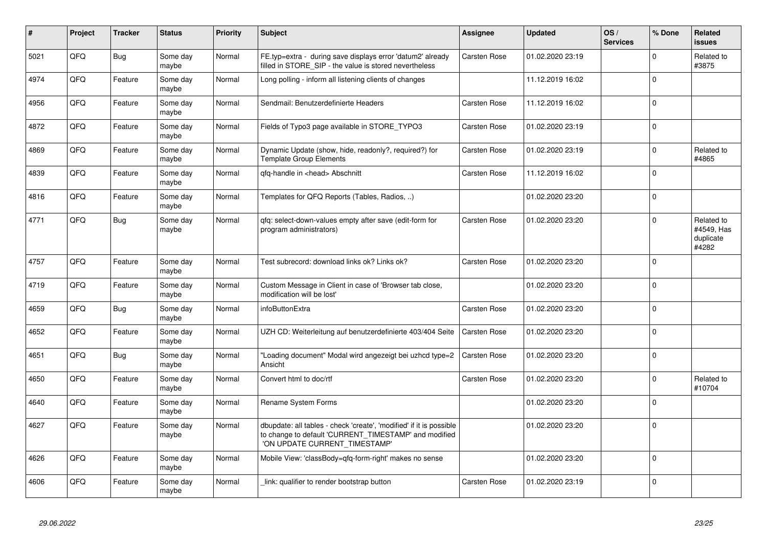| #    | Project | <b>Tracker</b> | <b>Status</b>     | <b>Priority</b> | <b>Subject</b>                                                                                                                                                | <b>Assignee</b> | <b>Updated</b>   | OS/<br><b>Services</b> | % Done      | Related<br><b>issues</b>                       |
|------|---------|----------------|-------------------|-----------------|---------------------------------------------------------------------------------------------------------------------------------------------------------------|-----------------|------------------|------------------------|-------------|------------------------------------------------|
| 5021 | QFQ     | Bug            | Some day<br>maybe | Normal          | FE.typ=extra - during save displays error 'datum2' already<br>filled in STORE_SIP - the value is stored nevertheless                                          | Carsten Rose    | 01.02.2020 23:19 |                        | $\mathbf 0$ | Related to<br>#3875                            |
| 4974 | QFQ     | Feature        | Some dav<br>maybe | Normal          | Long polling - inform all listening clients of changes                                                                                                        |                 | 11.12.2019 16:02 |                        | $\mathbf 0$ |                                                |
| 4956 | QFQ     | Feature        | Some dav<br>maybe | Normal          | Sendmail: Benutzerdefinierte Headers                                                                                                                          | Carsten Rose    | 11.12.2019 16:02 |                        | $\mathbf 0$ |                                                |
| 4872 | QFQ     | Feature        | Some day<br>maybe | Normal          | Fields of Typo3 page available in STORE_TYPO3                                                                                                                 | Carsten Rose    | 01.02.2020 23:19 |                        | $\mathbf 0$ |                                                |
| 4869 | QFQ     | Feature        | Some day<br>maybe | Normal          | Dynamic Update (show, hide, readonly?, required?) for<br><b>Template Group Elements</b>                                                                       | Carsten Rose    | 01.02.2020 23:19 |                        | $\Omega$    | Related to<br>#4865                            |
| 4839 | QFQ     | Feature        | Some day<br>maybe | Normal          | qfq-handle in <head> Abschnitt</head>                                                                                                                         | Carsten Rose    | 11.12.2019 16:02 |                        | $\mathbf 0$ |                                                |
| 4816 | QFQ     | Feature        | Some day<br>maybe | Normal          | Templates for QFQ Reports (Tables, Radios, )                                                                                                                  |                 | 01.02.2020 23:20 |                        | $\mathbf 0$ |                                                |
| 4771 | QFQ     | <b>Bug</b>     | Some day<br>maybe | Normal          | gfg: select-down-values empty after save (edit-form for<br>program administrators)                                                                            | Carsten Rose    | 01.02.2020 23:20 |                        | $\mathbf 0$ | Related to<br>#4549, Has<br>duplicate<br>#4282 |
| 4757 | QFQ     | Feature        | Some day<br>maybe | Normal          | Test subrecord: download links ok? Links ok?                                                                                                                  | Carsten Rose    | 01.02.2020 23:20 |                        | $\mathbf 0$ |                                                |
| 4719 | QFQ     | Feature        | Some dav<br>maybe | Normal          | Custom Message in Client in case of 'Browser tab close,<br>modification will be lost'                                                                         |                 | 01.02.2020 23:20 |                        | $\Omega$    |                                                |
| 4659 | QFQ     | <b>Bug</b>     | Some day<br>maybe | Normal          | infoButtonExtra                                                                                                                                               | Carsten Rose    | 01.02.2020 23:20 |                        | $\Omega$    |                                                |
| 4652 | QFQ     | Feature        | Some day<br>maybe | Normal          | UZH CD: Weiterleitung auf benutzerdefinierte 403/404 Seite                                                                                                    | Carsten Rose    | 01.02.2020 23:20 |                        | $\pmb{0}$   |                                                |
| 4651 | QFQ     | <b>Bug</b>     | Some day<br>maybe | Normal          | 'Loading document" Modal wird angezeigt bei uzhcd type=2<br>Ansicht                                                                                           | Carsten Rose    | 01.02.2020 23:20 |                        | $\mathbf 0$ |                                                |
| 4650 | QFQ     | Feature        | Some day<br>maybe | Normal          | Convert html to doc/rtf                                                                                                                                       | Carsten Rose    | 01.02.2020 23:20 |                        | $\mathbf 0$ | Related to<br>#10704                           |
| 4640 | QFQ     | Feature        | Some dav<br>maybe | Normal          | Rename System Forms                                                                                                                                           |                 | 01.02.2020 23:20 |                        | $\mathbf 0$ |                                                |
| 4627 | QFQ     | Feature        | Some dav<br>maybe | Normal          | dbupdate: all tables - check 'create', 'modified' if it is possible<br>to change to default 'CURRENT_TIMESTAMP' and modified<br>'ON UPDATE CURRENT TIMESTAMP' |                 | 01.02.2020 23:20 |                        | $\mathbf 0$ |                                                |
| 4626 | QFQ     | Feature        | Some day<br>maybe | Normal          | Mobile View: 'classBody=qfq-form-right' makes no sense                                                                                                        |                 | 01.02.2020 23:20 |                        | $\mathbf 0$ |                                                |
| 4606 | QFQ     | Feature        | Some day<br>maybe | Normal          | link: qualifier to render bootstrap button                                                                                                                    | Carsten Rose    | 01.02.2020 23:19 |                        | $\mathbf 0$ |                                                |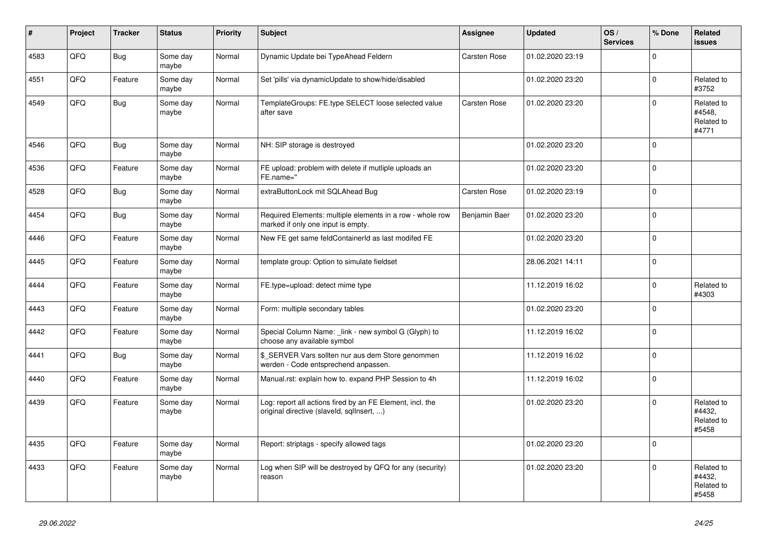| #    | Project | <b>Tracker</b> | <b>Status</b>     | <b>Priority</b> | <b>Subject</b>                                                                                         | <b>Assignee</b> | <b>Updated</b>   | OS/<br><b>Services</b> | % Done      | Related<br><b>issues</b>                    |
|------|---------|----------------|-------------------|-----------------|--------------------------------------------------------------------------------------------------------|-----------------|------------------|------------------------|-------------|---------------------------------------------|
| 4583 | QFQ     | Bug            | Some day<br>maybe | Normal          | Dynamic Update bei TypeAhead Feldern                                                                   | Carsten Rose    | 01.02.2020 23:19 |                        | $\Omega$    |                                             |
| 4551 | QFQ     | Feature        | Some day<br>maybe | Normal          | Set 'pills' via dynamicUpdate to show/hide/disabled                                                    |                 | 01.02.2020 23:20 |                        | $\mathbf 0$ | Related to<br>#3752                         |
| 4549 | QFQ     | <b>Bug</b>     | Some day<br>maybe | Normal          | TemplateGroups: FE.type SELECT loose selected value<br>after save                                      | Carsten Rose    | 01.02.2020 23:20 |                        | $\Omega$    | Related to<br>#4548.<br>Related to<br>#4771 |
| 4546 | QFQ     | <b>Bug</b>     | Some day<br>maybe | Normal          | NH: SIP storage is destroyed                                                                           |                 | 01.02.2020 23:20 |                        | $\Omega$    |                                             |
| 4536 | QFQ     | Feature        | Some day<br>maybe | Normal          | FE upload: problem with delete if mutliple uploads an<br>FE.name="                                     |                 | 01.02.2020 23:20 |                        | $\mathbf 0$ |                                             |
| 4528 | QFQ     | Bug            | Some day<br>maybe | Normal          | extraButtonLock mit SQLAhead Bug                                                                       | Carsten Rose    | 01.02.2020 23:19 |                        | $\Omega$    |                                             |
| 4454 | QFQ     | Bug            | Some day<br>maybe | Normal          | Required Elements: multiple elements in a row - whole row<br>marked if only one input is empty.        | Benjamin Baer   | 01.02.2020 23:20 |                        | $\mathbf 0$ |                                             |
| 4446 | QFQ     | Feature        | Some day<br>maybe | Normal          | New FE get same feldContainerId as last modifed FE                                                     |                 | 01.02.2020 23:20 |                        | $\pmb{0}$   |                                             |
| 4445 | QFQ     | Feature        | Some day<br>maybe | Normal          | template group: Option to simulate fieldset                                                            |                 | 28.06.2021 14:11 |                        | $\Omega$    |                                             |
| 4444 | QFQ     | Feature        | Some day<br>maybe | Normal          | FE.type=upload: detect mime type                                                                       |                 | 11.12.2019 16:02 |                        | $\mathbf 0$ | Related to<br>#4303                         |
| 4443 | QFQ     | Feature        | Some day<br>maybe | Normal          | Form: multiple secondary tables                                                                        |                 | 01.02.2020 23:20 |                        | $\mathbf 0$ |                                             |
| 4442 | QFQ     | Feature        | Some day<br>maybe | Normal          | Special Column Name: _link - new symbol G (Glyph) to<br>choose any available symbol                    |                 | 11.12.2019 16:02 |                        | $\mathbf 0$ |                                             |
| 4441 | QFQ     | <b>Bug</b>     | Some day<br>maybe | Normal          | \$_SERVER Vars sollten nur aus dem Store genommen<br>werden - Code entsprechend anpassen.              |                 | 11.12.2019 16:02 |                        | $\mathbf 0$ |                                             |
| 4440 | QFQ     | Feature        | Some day<br>maybe | Normal          | Manual.rst: explain how to. expand PHP Session to 4h                                                   |                 | 11.12.2019 16:02 |                        | $\mathbf 0$ |                                             |
| 4439 | QFQ     | Feature        | Some day<br>maybe | Normal          | Log: report all actions fired by an FE Element, incl. the<br>original directive (slaveld, sqllnsert, ) |                 | 01.02.2020 23:20 |                        | $\Omega$    | Related to<br>#4432,<br>Related to<br>#5458 |
| 4435 | QFQ     | Feature        | Some day<br>maybe | Normal          | Report: striptags - specify allowed tags                                                               |                 | 01.02.2020 23:20 |                        | $\mathbf 0$ |                                             |
| 4433 | QFQ     | Feature        | Some day<br>maybe | Normal          | Log when SIP will be destroyed by QFQ for any (security)<br>reason                                     |                 | 01.02.2020 23:20 |                        | $\mathbf 0$ | Related to<br>#4432,<br>Related to<br>#5458 |